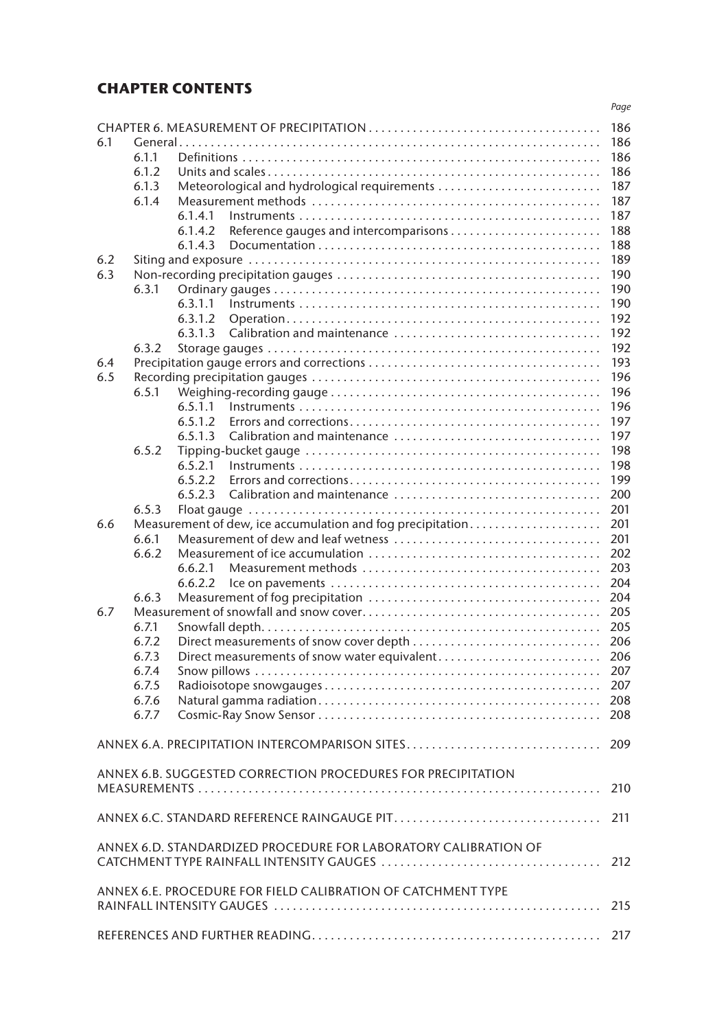# **CHAPTER CONTENTS**

|                                                                 |       |                                                              | Page       |  |  |  |
|-----------------------------------------------------------------|-------|--------------------------------------------------------------|------------|--|--|--|
| 186                                                             |       |                                                              |            |  |  |  |
| 6.1                                                             |       |                                                              | 186        |  |  |  |
|                                                                 | 6.1.1 |                                                              | 186        |  |  |  |
|                                                                 | 6.1.2 |                                                              | 186        |  |  |  |
|                                                                 | 6.1.3 | Meteorological and hydrological requirements                 | 187        |  |  |  |
|                                                                 | 6.1.4 |                                                              | 187        |  |  |  |
|                                                                 |       | 6.1.4.1<br>Reference gauges and intercomparisons<br>6.1.4.2  | 187<br>188 |  |  |  |
|                                                                 |       | 6.1.4.3                                                      | 188        |  |  |  |
| 6.2                                                             |       |                                                              | 189        |  |  |  |
| 6.3                                                             |       |                                                              |            |  |  |  |
|                                                                 | 6.3.1 |                                                              | 190<br>190 |  |  |  |
|                                                                 |       | 6.3.1.1                                                      | 190        |  |  |  |
|                                                                 |       | 6.3.1.2                                                      | 192        |  |  |  |
|                                                                 |       | Calibration and maintenance<br>6.3.1.3                       | 192        |  |  |  |
|                                                                 | 6.3.2 |                                                              | 192        |  |  |  |
| 6.4                                                             |       |                                                              | 193        |  |  |  |
| 6.5                                                             |       |                                                              | 196        |  |  |  |
|                                                                 | 6.5.1 |                                                              | 196        |  |  |  |
|                                                                 |       | 6.5.1.1                                                      | 196        |  |  |  |
|                                                                 |       | 6.5.1.2                                                      | 197        |  |  |  |
|                                                                 |       | 6.5.1.3                                                      | 197        |  |  |  |
|                                                                 | 6.5.2 |                                                              | 198        |  |  |  |
|                                                                 |       | 6.5.2.1                                                      | 198        |  |  |  |
|                                                                 |       | 6.5.2.2                                                      | 199        |  |  |  |
|                                                                 |       | 6.5.2.3                                                      | 200        |  |  |  |
| 6.6                                                             | 6.5.3 | Measurement of dew, ice accumulation and fog precipitation   | 201<br>201 |  |  |  |
|                                                                 | 6.6.1 |                                                              | 201        |  |  |  |
|                                                                 | 6.6.2 |                                                              | 202        |  |  |  |
|                                                                 |       | 6.6.2.1                                                      | 203        |  |  |  |
|                                                                 |       | 6.6.2.2                                                      | 204        |  |  |  |
|                                                                 | 6.6.3 |                                                              | 204        |  |  |  |
| 6.7                                                             |       |                                                              | 205        |  |  |  |
|                                                                 | 6.7.1 |                                                              |            |  |  |  |
|                                                                 | 6.7.2 |                                                              | 205<br>206 |  |  |  |
|                                                                 | 6.7.3 | Direct measurements of snow water equivalent                 | 206        |  |  |  |
|                                                                 | 6.7.4 |                                                              | 207        |  |  |  |
|                                                                 | 6.7.5 |                                                              | 207        |  |  |  |
|                                                                 | 6.7.6 |                                                              | 208        |  |  |  |
|                                                                 | 6.7.7 |                                                              | 208        |  |  |  |
| 209                                                             |       |                                                              |            |  |  |  |
|                                                                 |       |                                                              |            |  |  |  |
|                                                                 |       | ANNEX 6.B. SUGGESTED CORRECTION PROCEDURES FOR PRECIPITATION |            |  |  |  |
|                                                                 |       |                                                              | 210        |  |  |  |
|                                                                 |       |                                                              | 211        |  |  |  |
|                                                                 |       |                                                              |            |  |  |  |
| ANNEX 6.D. STANDARDIZED PROCEDURE FOR LABORATORY CALIBRATION OF |       |                                                              |            |  |  |  |
| 212                                                             |       |                                                              |            |  |  |  |
| ANNEX 6.E. PROCEDURE FOR FIELD CALIBRATION OF CATCHMENT TYPE    |       |                                                              |            |  |  |  |
| 215                                                             |       |                                                              |            |  |  |  |
|                                                                 |       |                                                              |            |  |  |  |
| 217                                                             |       |                                                              |            |  |  |  |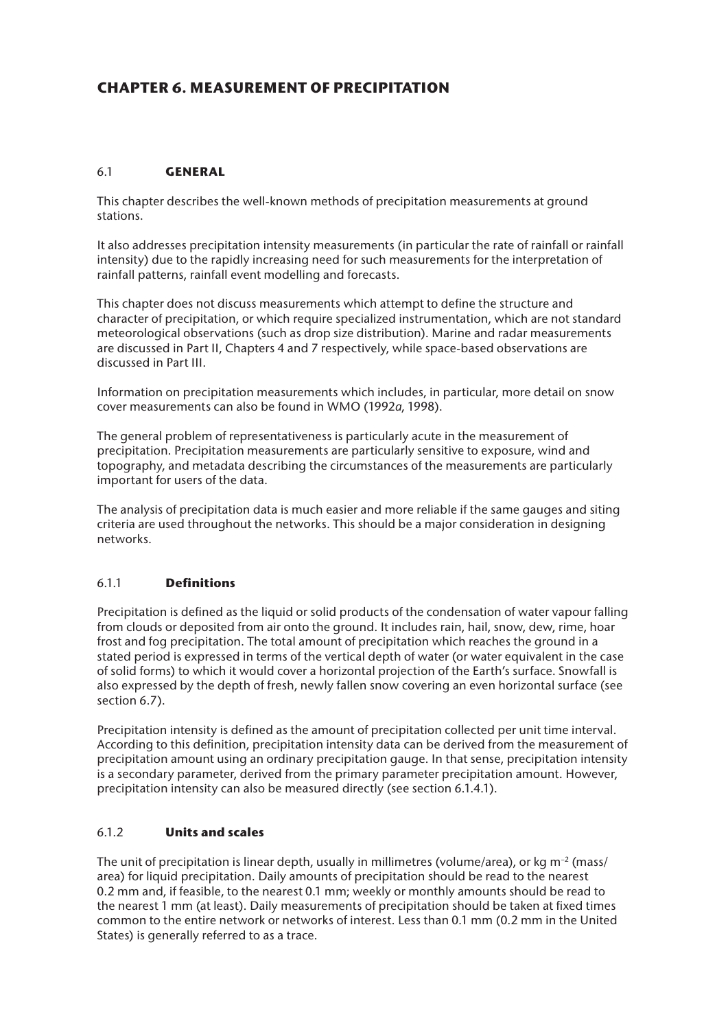# **CHAPTER 6. MEASUREMENT OF PRECIPITATION**

# 6.1 **GENERAL**

This chapter describes the well-known methods of precipitation measurements at ground stations.

It also addresses precipitation intensity measurements (in particular the rate of rainfall or rainfall intensity) due to the rapidly increasing need for such measurements for the interpretation of rainfall patterns, rainfall event modelling and forecasts.

This chapter does not discuss measurements which attempt to define the structure and character of precipitation, or which require specialized instrumentation, which are not standard meteorological observations (such as drop size distribution). Marine and radar measurements are discussed in Part II, Chapters 4 and 7 respectively, while space-based observations are discussed in Part III.

Information on precipitation measurements which includes, in particular, more detail on snow cover measurements can also be found in WMO (1992*a*, 1998).

The general problem of representativeness is particularly acute in the measurement of precipitation. Precipitation measurements are particularly sensitive to exposure, wind and topography, and metadata describing the circumstances of the measurements are particularly important for users of the data.

The analysis of precipitation data is much easier and more reliable if the same gauges and siting criteria are used throughout the networks. This should be a major consideration in designing networks.

## 6.1.1 **Definitions**

Precipitation is defined as the liquid or solid products of the condensation of water vapour falling from clouds or deposited from air onto the ground. It includes rain, hail, snow, dew, rime, hoar frost and fog precipitation. The total amount of precipitation which reaches the ground in a stated period is expressed in terms of the vertical depth of water (or water equivalent in the case of solid forms) to which it would cover a horizontal projection of the Earth's surface. Snowfall is also expressed by the depth of fresh, newly fallen snow covering an even horizontal surface (see section 6.7).

Precipitation intensity is defined as the amount of precipitation collected per unit time interval. According to this definition, precipitation intensity data can be derived from the measurement of precipitation amount using an ordinary precipitation gauge. In that sense, precipitation intensity is a secondary parameter, derived from the primary parameter precipitation amount. However, precipitation intensity can also be measured directly (see section 6.1.4.1).

## 6.1.2 **Units and scales**

The unit of precipitation is linear depth, usually in millimetres (volume/area), or kg  $m<sup>-2</sup>$  (mass/ area) for liquid precipitation. Daily amounts of precipitation should be read to the nearest 0.2 mm and, if feasible, to the nearest 0.1 mm; weekly or monthly amounts should be read to the nearest 1 mm (at least). Daily measurements of precipitation should be taken at fixed times common to the entire network or networks of interest. Less than 0.1 mm (0.2 mm in the United States) is generally referred to as a trace.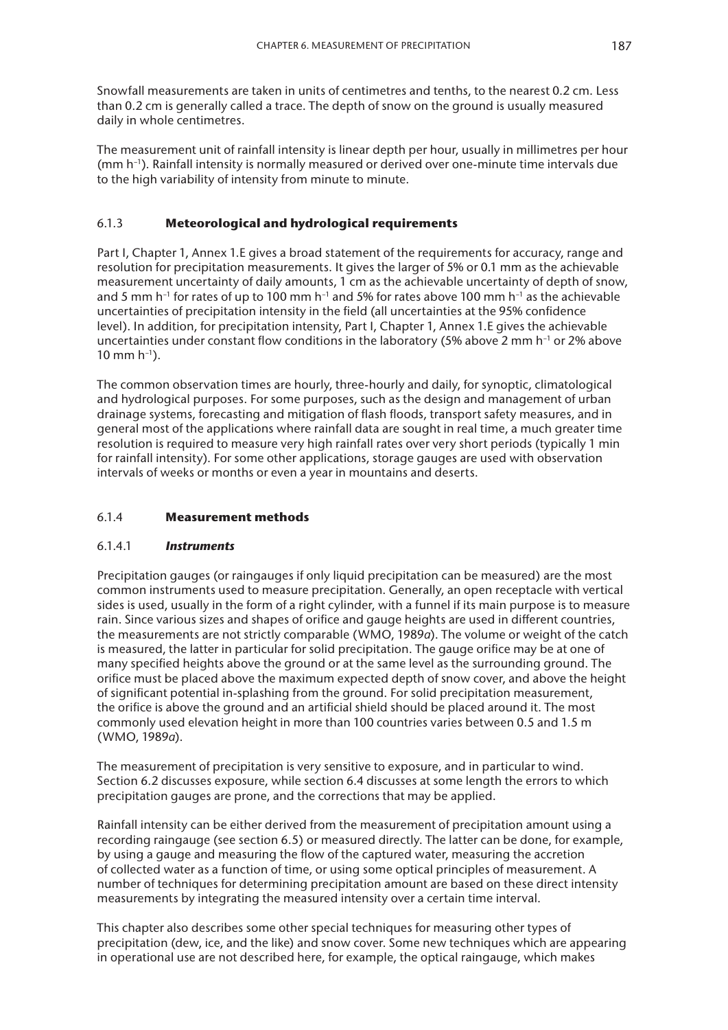Snowfall measurements are taken in units of centimetres and tenths, to the nearest 0.2 cm. Less than 0.2 cm is generally called a trace. The depth of snow on the ground is usually measured daily in whole centimetres.

The measurement unit of rainfall intensity is linear depth per hour, usually in millimetres per hour  $(nm h<sup>-1</sup>)$ . Rainfall intensity is normally measured or derived over one-minute time intervals due to the high variability of intensity from minute to minute.

# 6.1.3 **Meteorological and hydrological requirements**

Part I, Chapter 1, Annex 1.E gives a broad statement of the requirements for accuracy, range and resolution for precipitation measurements. It gives the larger of 5% or 0.1 mm as the achievable measurement uncertainty of daily amounts, 1 cm as the achievable uncertainty of depth of snow, and 5 mm h<sup>-1</sup> for rates of up to 100 mm h<sup>-1</sup> and 5% for rates above 100 mm h<sup>-1</sup> as the achievable uncertainties of precipitation intensity in the field (all uncertainties at the 95% confidence level). In addition, for precipitation intensity, Part I, Chapter 1, Annex 1.E gives the achievable uncertainties under constant flow conditions in the laboratory (5% above 2 mm  $h^{-1}$  or 2% above  $10$  mm  $h^{-1}$ ).

The common observation times are hourly, three-hourly and daily, for synoptic, climatological and hydrological purposes. For some purposes, such as the design and management of urban drainage systems, forecasting and mitigation of flash floods, transport safety measures, and in general most of the applications where rainfall data are sought in real time, a much greater time resolution is required to measure very high rainfall rates over very short periods (typically 1 min for rainfall intensity). For some other applications, storage gauges are used with observation intervals of weeks or months or even a year in mountains and deserts.

# 6.1.4 **Measurement methods**

# 6.1.4.1 *Instruments*

Precipitation gauges (or raingauges if only liquid precipitation can be measured) are the most common instruments used to measure precipitation. Generally, an open receptacle with vertical sides is used, usually in the form of a right cylinder, with a funnel if its main purpose is to measure rain. Since various sizes and shapes of orifice and gauge heights are used in different countries, the measurements are not strictly comparable (WMO, 1989*a*). The volume or weight of the catch is measured, the latter in particular for solid precipitation. The gauge orifice may be at one of many specified heights above the ground or at the same level as the surrounding ground. The orifice must be placed above the maximum expected depth of snow cover, and above the height of significant potential in-splashing from the ground. For solid precipitation measurement, the orifice is above the ground and an artificial shield should be placed around it. The most commonly used elevation height in more than 100 countries varies between 0.5 and 1.5 m (WMO, 1989*a*).

The measurement of precipitation is very sensitive to exposure, and in particular to wind. Section 6.2 discusses exposure, while section 6.4 discusses at some length the errors to which precipitation gauges are prone, and the corrections that may be applied.

Rainfall intensity can be either derived from the measurement of precipitation amount using a recording raingauge (see section 6.5) or measured directly. The latter can be done, for example, by using a gauge and measuring the flow of the captured water, measuring the accretion of collected water as a function of time, or using some optical principles of measurement. A number of techniques for determining precipitation amount are based on these direct intensity measurements by integrating the measured intensity over a certain time interval.

This chapter also describes some other special techniques for measuring other types of precipitation (dew, ice, and the like) and snow cover. Some new techniques which are appearing in operational use are not described here, for example, the optical raingauge, which makes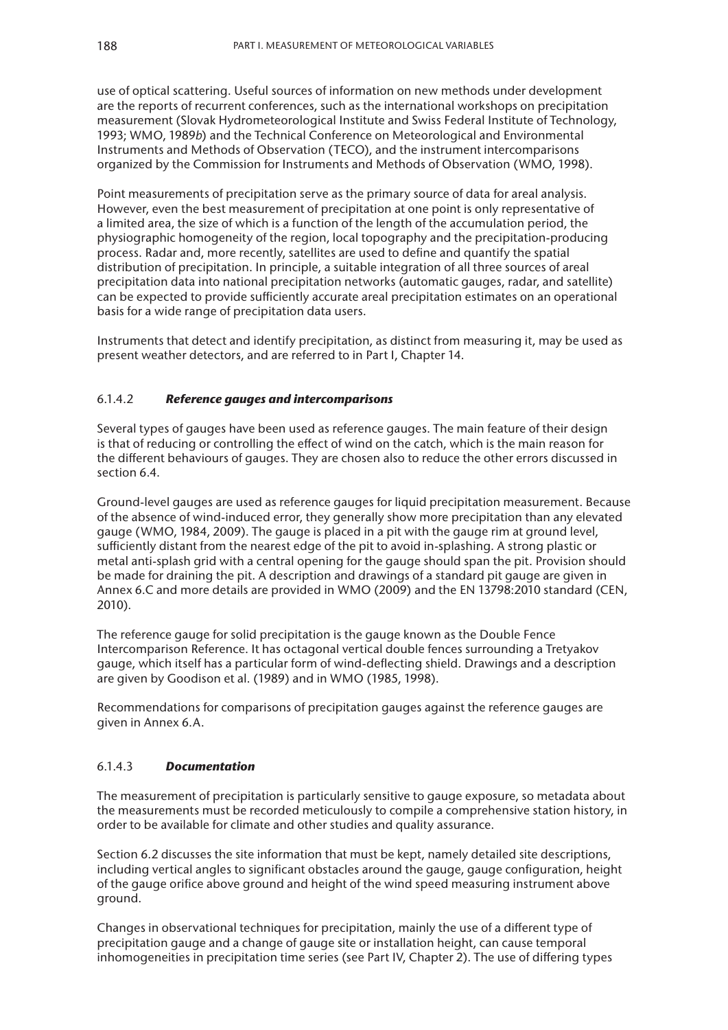use of optical scattering. Useful sources of information on new methods under development are the reports of recurrent conferences, such as the international workshops on precipitation measurement (Slovak Hydrometeorological Institute and Swiss Federal Institute of Technology, 1993; WMO, 1989*b*) and the Technical Conference on Meteorological and Environmental Instruments and Methods of Observation (TECO), and the instrument intercomparisons organized by the Commission for Instruments and Methods of Observation (WMO, 1998).

Point measurements of precipitation serve as the primary source of data for areal analysis. However, even the best measurement of precipitation at one point is only representative of a limited area, the size of which is a function of the length of the accumulation period, the physiographic homogeneity of the region, local topography and the precipitation-producing process. Radar and, more recently, satellites are used to define and quantify the spatial distribution of precipitation. In principle, a suitable integration of all three sources of areal precipitation data into national precipitation networks (automatic gauges, radar, and satellite) can be expected to provide sufficiently accurate areal precipitation estimates on an operational basis for a wide range of precipitation data users.

Instruments that detect and identify precipitation, as distinct from measuring it, may be used as present weather detectors, and are referred to in Part I, Chapter 14.

# 6.1.4.2 *Reference gauges and intercomparisons*

Several types of gauges have been used as reference gauges. The main feature of their design is that of reducing or controlling the effect of wind on the catch, which is the main reason for the different behaviours of gauges. They are chosen also to reduce the other errors discussed in section 6.4.

Ground-level gauges are used as reference gauges for liquid precipitation measurement. Because of the absence of wind-induced error, they generally show more precipitation than any elevated gauge (WMO, 1984, 2009). The gauge is placed in a pit with the gauge rim at ground level, sufficiently distant from the nearest edge of the pit to avoid in-splashing. A strong plastic or metal anti-splash grid with a central opening for the gauge should span the pit. Provision should be made for draining the pit. A description and drawings of a standard pit gauge are given in Annex 6.C and more details are provided in WMO (2009) and the EN 13798:2010 standard (CEN, 2010).

The reference gauge for solid precipitation is the gauge known as the Double Fence Intercomparison Reference. It has octagonal vertical double fences surrounding a Tretyakov gauge, which itself has a particular form of wind-deflecting shield. Drawings and a description are given by Goodison et al. (1989) and in WMO (1985, 1998).

Recommendations for comparisons of precipitation gauges against the reference gauges are given in Annex 6.A.

## 6.1.4.3 *Documentation*

The measurement of precipitation is particularly sensitive to gauge exposure, so metadata about the measurements must be recorded meticulously to compile a comprehensive station history, in order to be available for climate and other studies and quality assurance.

Section 6.2 discusses the site information that must be kept, namely detailed site descriptions, including vertical angles to significant obstacles around the gauge, gauge configuration, height of the gauge orifice above ground and height of the wind speed measuring instrument above ground.

Changes in observational techniques for precipitation, mainly the use of a different type of precipitation gauge and a change of gauge site or installation height, can cause temporal inhomogeneities in precipitation time series (see Part IV, Chapter 2). The use of differing types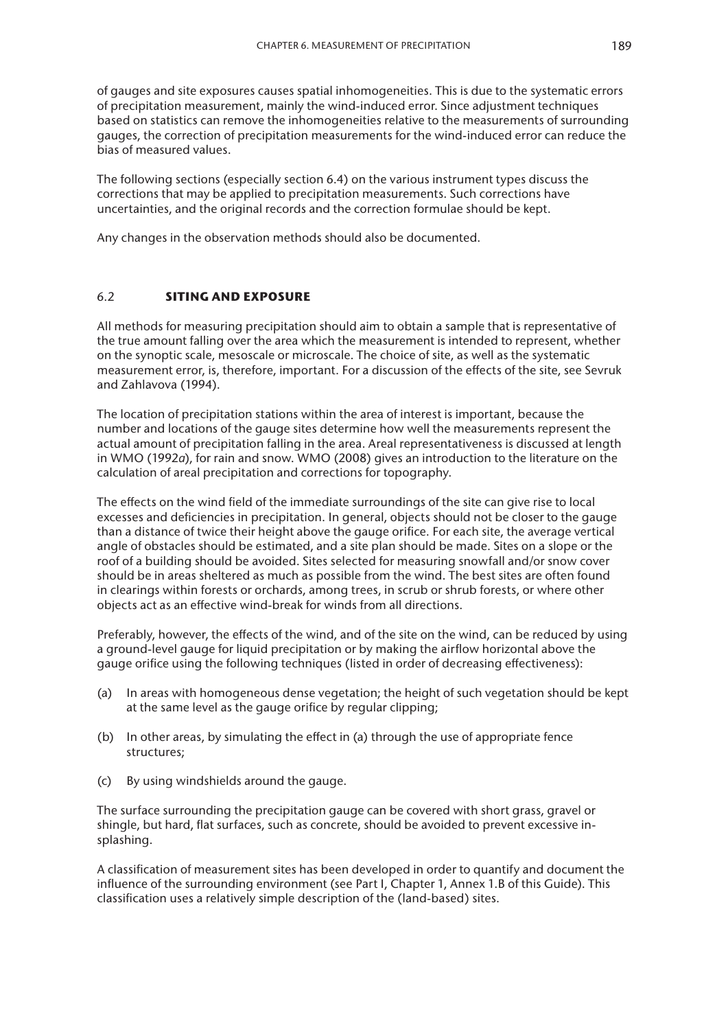of gauges and site exposures causes spatial inhomogeneities. This is due to the systematic errors of precipitation measurement, mainly the wind-induced error. Since adjustment techniques based on statistics can remove the inhomogeneities relative to the measurements of surrounding gauges, the correction of precipitation measurements for the wind-induced error can reduce the bias of measured values.

The following sections (especially section 6.4) on the various instrument types discuss the corrections that may be applied to precipitation measurements. Such corrections have uncertainties, and the original records and the correction formulae should be kept.

Any changes in the observation methods should also be documented.

## 6.2 **SITING AND EXPOSURE**

All methods for measuring precipitation should aim to obtain a sample that is representative of the true amount falling over the area which the measurement is intended to represent, whether on the synoptic scale, mesoscale or microscale. The choice of site, as well as the systematic measurement error, is, therefore, important. For a discussion of the effects of the site, see Sevruk and Zahlavova (1994).

The location of precipitation stations within the area of interest is important, because the number and locations of the gauge sites determine how well the measurements represent the actual amount of precipitation falling in the area. Areal representativeness is discussed at length in WMO (1992*a*), for rain and snow. WMO (2008) gives an introduction to the literature on the calculation of areal precipitation and corrections for topography.

The effects on the wind field of the immediate surroundings of the site can give rise to local excesses and deficiencies in precipitation. In general, objects should not be closer to the gauge than a distance of twice their height above the gauge orifice. For each site, the average vertical angle of obstacles should be estimated, and a site plan should be made. Sites on a slope or the roof of a building should be avoided. Sites selected for measuring snowfall and/or snow cover should be in areas sheltered as much as possible from the wind. The best sites are often found in clearings within forests or orchards, among trees, in scrub or shrub forests, or where other objects act as an effective wind-break for winds from all directions.

Preferably, however, the effects of the wind, and of the site on the wind, can be reduced by using a ground-level gauge for liquid precipitation or by making the airflow horizontal above the gauge orifice using the following techniques (listed in order of decreasing effectiveness):

- (a) In areas with homogeneous dense vegetation; the height of such vegetation should be kept at the same level as the gauge orifice by regular clipping;
- (b) In other areas, by simulating the effect in (a) through the use of appropriate fence structures;
- (c) By using windshields around the gauge.

The surface surrounding the precipitation gauge can be covered with short grass, gravel or shingle, but hard, flat surfaces, such as concrete, should be avoided to prevent excessive insplashing.

A classification of measurement sites has been developed in order to quantify and document the influence of the surrounding environment (see Part I, Chapter 1, Annex 1.B of this Guide). This classification uses a relatively simple description of the (land-based) sites.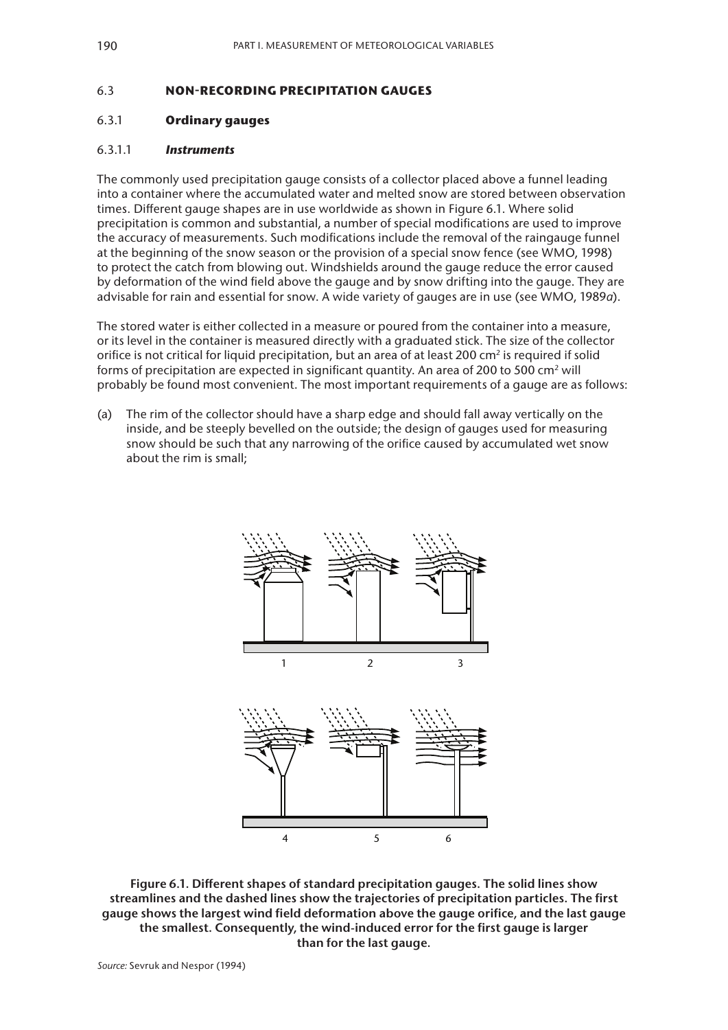#### 6.3 **NON-RECORDING PRECIPITATION GAUGES**

## 6.3.1 **Ordinary gauges**

#### 6.3.1.1 *Instruments*

The commonly used precipitation gauge consists of a collector placed above a funnel leading into a container where the accumulated water and melted snow are stored between observation times. Different gauge shapes are in use worldwide as shown in Figure 6.1. Where solid precipitation is common and substantial, a number of special modifications are used to improve the accuracy of measurements. Such modifications include the removal of the raingauge funnel at the beginning of the snow season or the provision of a special snow fence (see WMO, 1998) to protect the catch from blowing out. Windshields around the gauge reduce the error caused by deformation of the wind field above the gauge and by snow drifting into the gauge. They are advisable for rain and essential for snow. A wide variety of gauges are in use (see WMO, 1989*a*).

The stored water is either collected in a measure or poured from the container into a measure, or its level in the container is measured directly with a graduated stick. The size of the collector orifice is not critical for liquid precipitation, but an area of at least 200 cm<sup>2</sup> is required if solid forms of precipitation are expected in significant quantity. An area of 200 to 500 cm $^2$  will probably be found most convenient. The most important requirements of a gauge are as follows:

(a) The rim of the collector should have a sharp edge and should fall away vertically on the inside, and be steeply bevelled on the outside; the design of gauges used for measuring snow should be such that any narrowing of the orifice caused by accumulated wet snow about the rim is small;



**Figure 6.1. Different shapes of standard precipitation gauges. The solid lines show streamlines and the dashed lines show the trajectories of precipitation particles. The first gauge shows the largest wind field deformation above the gauge orifice, and the last gauge the smallest. Consequently, the wind-induced error for the first gauge is larger than for the last gauge.**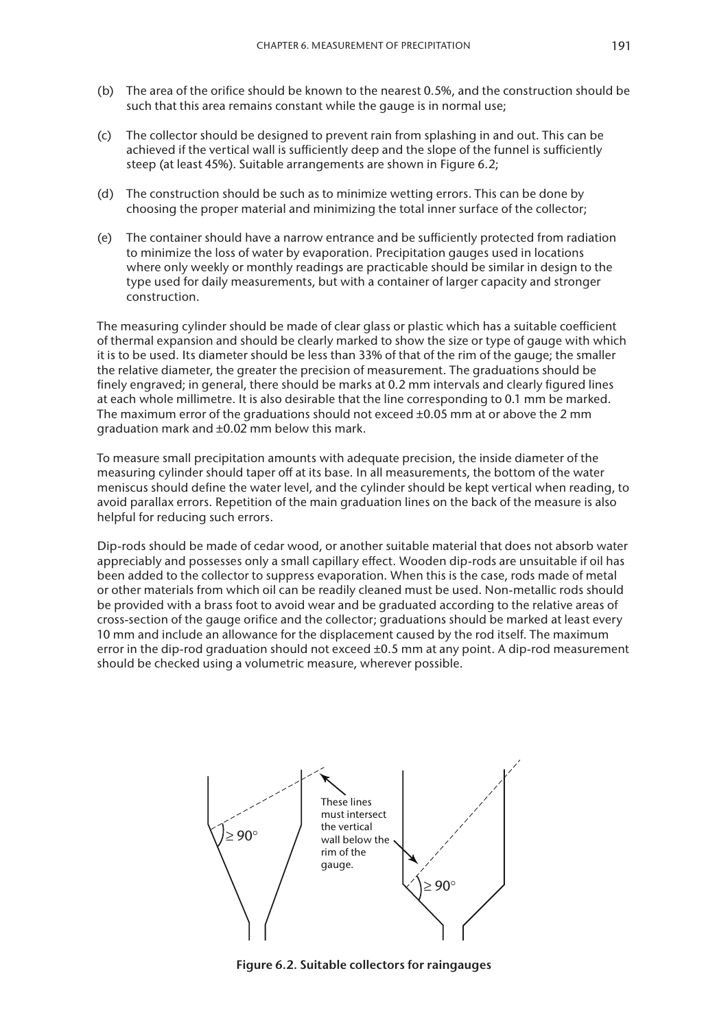- (b) The area of the orifice should be known to the nearest 0.5%, and the construction should be such that this area remains constant while the gauge is in normal use;
- (c) The collector should be designed to prevent rain from splashing in and out. This can be achieved if the vertical wall is sufficiently deep and the slope of the funnel is sufficiently steep (at least 45%). Suitable arrangements are shown in Figure 6.2;
- (d) The construction should be such as to minimize wetting errors. This can be done by choosing the proper material and minimizing the total inner surface of the collector;
- (e) The container should have a narrow entrance and be sufficiently protected from radiation to minimize the loss of water by evaporation. Precipitation gauges used in locations where only weekly or monthly readings are practicable should be similar in design to the type used for daily measurements, but with a container of larger capacity and stronger construction.

The measuring cylinder should be made of clear glass or plastic which has a suitable coefficient of thermal expansion and should be clearly marked to show the size or type of gauge with which it is to be used. Its diameter should be less than 33% of that of the rim of the gauge; the smaller the relative diameter, the greater the precision of measurement. The graduations should be finely engraved; in general, there should be marks at 0.2 mm intervals and clearly figured lines at each whole millimetre. It is also desirable that the line corresponding to 0.1 mm be marked. The maximum error of the graduations should not exceed  $\pm 0.05$  mm at or above the 2 mm graduation mark and ±0.02 mm below this mark.

To measure small precipitation amounts with adequate precision, the inside diameter of the measuring cylinder should taper off at its base. In all measurements, the bottom of the water meniscus should define the water level, and the cylinder should be kept vertical when reading, to avoid parallax errors. Repetition of the main graduation lines on the back of the measure is also helpful for reducing such errors.

Dip-rods should be made of cedar wood, or another suitable material that does not absorb water appreciably and possesses only a small capillary effect. Wooden dip-rods are unsuitable if oil has been added to the collector to suppress evaporation. When this is the case, rods made of metal or other materials from which oil can be readily cleaned must be used. Non-metallic rods should be provided with a brass foot to avoid wear and be graduated according to the relative areas of cross-section of the gauge orifice and the collector; graduations should be marked at least every 10 mm and include an allowance for the displacement caused by the rod itself. The maximum error in the dip-rod graduation should not exceed ±0.5 mm at any point. A dip-rod measurement should be checked using a volumetric measure, wherever possible.



**Figure 6.2. Suitable collectors for raingauges**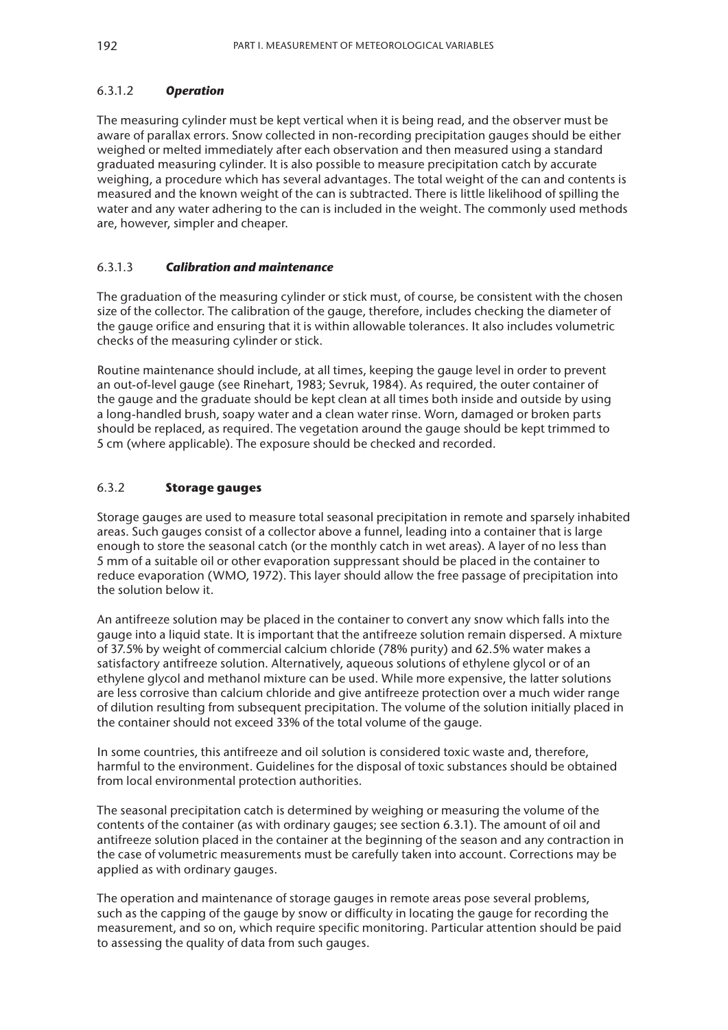# 6.3.1.2 *Operation*

The measuring cylinder must be kept vertical when it is being read, and the observer must be aware of parallax errors. Snow collected in non-recording precipitation gauges should be either weighed or melted immediately after each observation and then measured using a standard graduated measuring cylinder. It is also possible to measure precipitation catch by accurate weighing, a procedure which has several advantages. The total weight of the can and contents is measured and the known weight of the can is subtracted. There is little likelihood of spilling the water and any water adhering to the can is included in the weight. The commonly used methods are, however, simpler and cheaper.

# 6.3.1.3 *Calibration and maintenance*

The graduation of the measuring cylinder or stick must, of course, be consistent with the chosen size of the collector. The calibration of the gauge, therefore, includes checking the diameter of the gauge orifice and ensuring that it is within allowable tolerances. It also includes volumetric checks of the measuring cylinder or stick.

Routine maintenance should include, at all times, keeping the gauge level in order to prevent an out-of-level gauge (see Rinehart, 1983; Sevruk, 1984). As required, the outer container of the gauge and the graduate should be kept clean at all times both inside and outside by using a long-handled brush, soapy water and a clean water rinse. Worn, damaged or broken parts should be replaced, as required. The vegetation around the gauge should be kept trimmed to 5 cm (where applicable). The exposure should be checked and recorded.

# 6.3.2 **Storage gauges**

Storage gauges are used to measure total seasonal precipitation in remote and sparsely inhabited areas. Such gauges consist of a collector above a funnel, leading into a container that is large enough to store the seasonal catch (or the monthly catch in wet areas). A layer of no less than 5 mm of a suitable oil or other evaporation suppressant should be placed in the container to reduce evaporation (WMO, 1972). This layer should allow the free passage of precipitation into the solution below it.

An antifreeze solution may be placed in the container to convert any snow which falls into the gauge into a liquid state. It is important that the antifreeze solution remain dispersed. A mixture of 37.5% by weight of commercial calcium chloride (78% purity) and 62.5% water makes a satisfactory antifreeze solution. Alternatively, aqueous solutions of ethylene glycol or of an ethylene glycol and methanol mixture can be used. While more expensive, the latter solutions are less corrosive than calcium chloride and give antifreeze protection over a much wider range of dilution resulting from subsequent precipitation. The volume of the solution initially placed in the container should not exceed 33% of the total volume of the gauge.

In some countries, this antifreeze and oil solution is considered toxic waste and, therefore, harmful to the environment. Guidelines for the disposal of toxic substances should be obtained from local environmental protection authorities.

The seasonal precipitation catch is determined by weighing or measuring the volume of the contents of the container (as with ordinary gauges; see section 6.3.1). The amount of oil and antifreeze solution placed in the container at the beginning of the season and any contraction in the case of volumetric measurements must be carefully taken into account. Corrections may be applied as with ordinary gauges.

The operation and maintenance of storage gauges in remote areas pose several problems, such as the capping of the gauge by snow or difficulty in locating the gauge for recording the measurement, and so on, which require specific monitoring. Particular attention should be paid to assessing the quality of data from such gauges.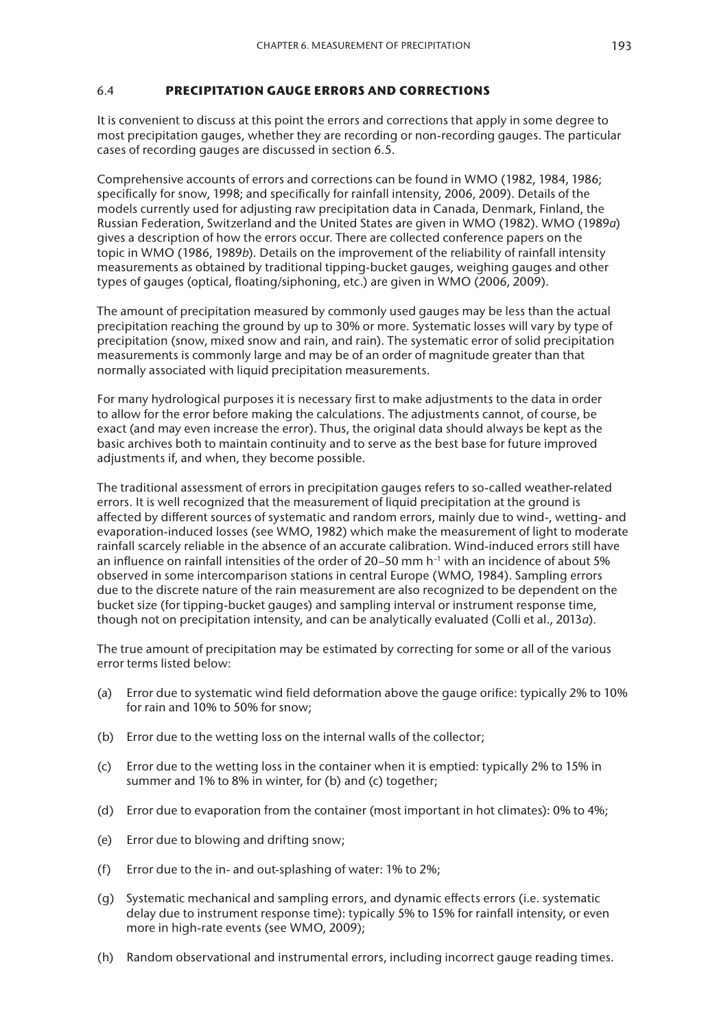## 6.4 **PRECIPITATION GAUGE ERRORS AND CORRECTIONS**

It is convenient to discuss at this point the errors and corrections that apply in some degree to most precipitation gauges, whether they are recording or non-recording gauges. The particular cases of recording gauges are discussed in section 6.5.

Comprehensive accounts of errors and corrections can be found in WMO (1982, 1984, 1986; specifically for snow, 1998; and specifically for rainfall intensity, 2006, 2009). Details of the models currently used for adjusting raw precipitation data in Canada, Denmark, Finland, the Russian Federation, Switzerland and the United States are given in WMO (1982). WMO (1989*a*) gives a description of how the errors occur. There are collected conference papers on the topic in WMO (1986, 1989*b*). Details on the improvement of the reliability of rainfall intensity measurements as obtained by traditional tipping-bucket gauges, weighing gauges and other types of gauges (optical, floating/siphoning, etc.) are given in WMO (2006, 2009).

The amount of precipitation measured by commonly used gauges may be less than the actual precipitation reaching the ground by up to 30% or more. Systematic losses will vary by type of precipitation (snow, mixed snow and rain, and rain). The systematic error of solid precipitation measurements is commonly large and may be of an order of magnitude greater than that normally associated with liquid precipitation measurements.

For many hydrological purposes it is necessary first to make adjustments to the data in order to allow for the error before making the calculations. The adjustments cannot, of course, be exact (and may even increase the error). Thus, the original data should always be kept as the basic archives both to maintain continuity and to serve as the best base for future improved adjustments if, and when, they become possible.

The traditional assessment of errors in precipitation gauges refers to so-called weather-related errors. It is well recognized that the measurement of liquid precipitation at the ground is affected by different sources of systematic and random errors, mainly due to wind-, wetting- and evaporation-induced losses (see WMO, 1982) which make the measurement of light to moderate rainfall scarcely reliable in the absence of an accurate calibration. Wind-induced errors still have an influence on rainfall intensities of the order of 20-50 mm h<sup>-1</sup> with an incidence of about 5% observed in some intercomparison stations in central Europe (WMO, 1984). Sampling errors due to the discrete nature of the rain measurement are also recognized to be dependent on the bucket size (for tipping-bucket gauges) and sampling interval or instrument response time, though not on precipitation intensity, and can be analytically evaluated (Colli et al., 2013*a*).

The true amount of precipitation may be estimated by correcting for some or all of the various error terms listed below:

- (a) Error due to systematic wind field deformation above the gauge orifice: typically 2% to 10% for rain and 10% to 50% for snow;
- (b) Error due to the wetting loss on the internal walls of the collector;
- (c) Error due to the wetting loss in the container when it is emptied: typically 2% to 15% in summer and 1% to 8% in winter, for (b) and (c) together;
- (d) Error due to evaporation from the container (most important in hot climates): 0% to 4%;
- (e) Error due to blowing and drifting snow;
- (f) Error due to the in- and out-splashing of water: 1% to 2%;
- (g) Systematic mechanical and sampling errors, and dynamic effects errors (i.e. systematic delay due to instrument response time): typically 5% to 15% for rainfall intensity, or even more in high-rate events (see WMO, 2009);
- (h) Random observational and instrumental errors, including incorrect gauge reading times.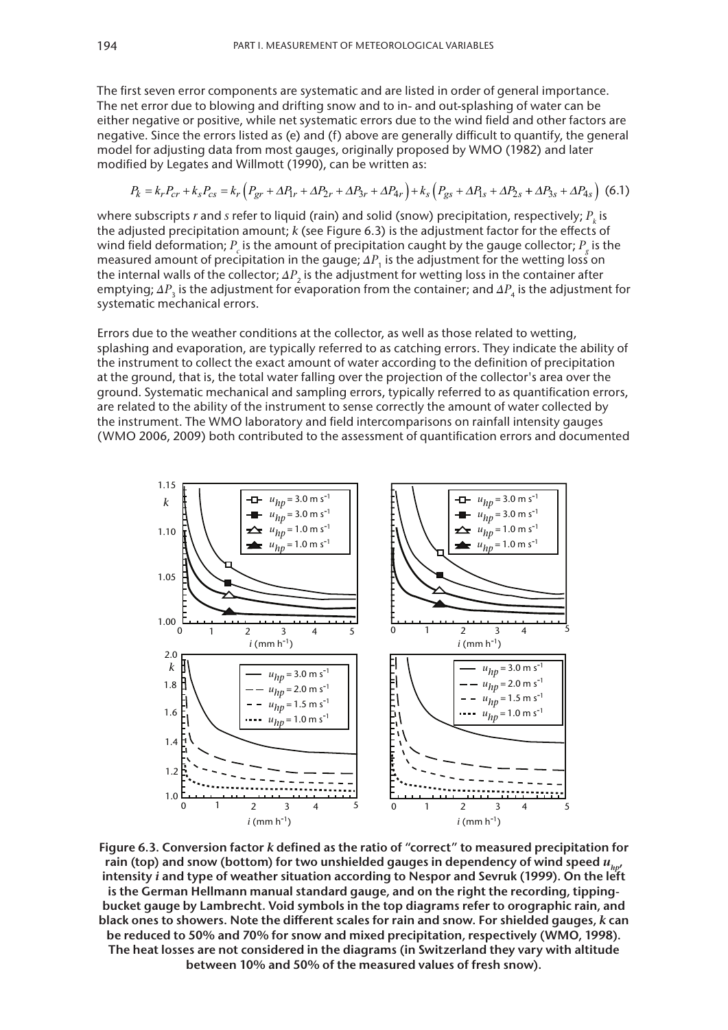The first seven error components are systematic and are listed in order of general importance. The net error due to blowing and drifting snow and to in- and out-splashing of water can be either negative or positive, while net systematic errors due to the wind field and other factors are negative. Since the errors listed as (e) and (f) above are generally difficult to quantify, the general model for adjusting data from most gauges, originally proposed by WMO (1982) and later modified by Legates and Willmott (1990), can be written as:

$$
P_k = k_r P_{cr} + k_s P_{cs} = k_r \left( P_{gr} + \Delta P_{1r} + \Delta P_{2r} + \Delta P_{3r} + \Delta P_{4r} \right) + k_s \left( P_{gs} + \Delta P_{1s} + \Delta P_{2s} + \Delta P_{3s} + \Delta P_{4s} \right) (6.1)
$$

where subscripts  $r$  and  $s$  refer to liquid (rain) and solid (snow) precipitation, respectively;  $P_k$  is the adjusted precipitation amount; *k* (see Figure 6.3) is the adjustment factor for the effects of wind field deformation;  $P_{c}$  is the amount of precipitation caught by the gauge collector;  $P_{\tiny g}$  is the measured amount of precipitation in the gauge;  $\varDelta P_{1}$  is the adjustment for the wetting loss on the internal walls of the collector;  $\varDelta P_{2}$  is the adjustment for wetting loss in the container after emptying;  $\Delta P_{_3}$  is the adjustment for evaporation from the container; and  $\Delta P_{_4}$  is the adjustment for systematic mechanical errors.

Errors due to the weather conditions at the collector, as well as those related to wetting, splashing and evaporation, are typically referred to as catching errors. They indicate the ability of the instrument to collect the exact amount of water according to the definition of precipitation at the ground, that is, the total water falling over the projection of the collector's area over the ground. Systematic mechanical and sampling errors, typically referred to as quantification errors, are related to the ability of the instrument to sense correctly the amount of water collected by the instrument. The WMO laboratory and field intercomparisons on rainfall intensity gauges (WMO 2006, 2009) both contributed to the assessment of quantification errors and documented



**Figure 6.3. Conversion factor** *k* **defined as the ratio of "correct" to measured precipitation for**  rain (top) and snow (bottom) for two unshielded gauges in dependency of wind speed  $u_{i\omega}$ **intensity** *i* **and type of weather situation according to Nespor and Sevruk (1999). On the left is the German Hellmann manual standard gauge, and on the right the recording, tippingbucket gauge by Lambrecht. Void symbols in the top diagrams refer to orographic rain, and black ones to showers. Note the different scales for rain and snow. For shielded gauges,** *k* **can be reduced to 50% and 70% for snow and mixed precipitation, respectively (WMO, 1998). The heat losses are not considered in the diagrams (in Switzerland they vary with altitude between 10% and 50% of the measured values of fresh snow).**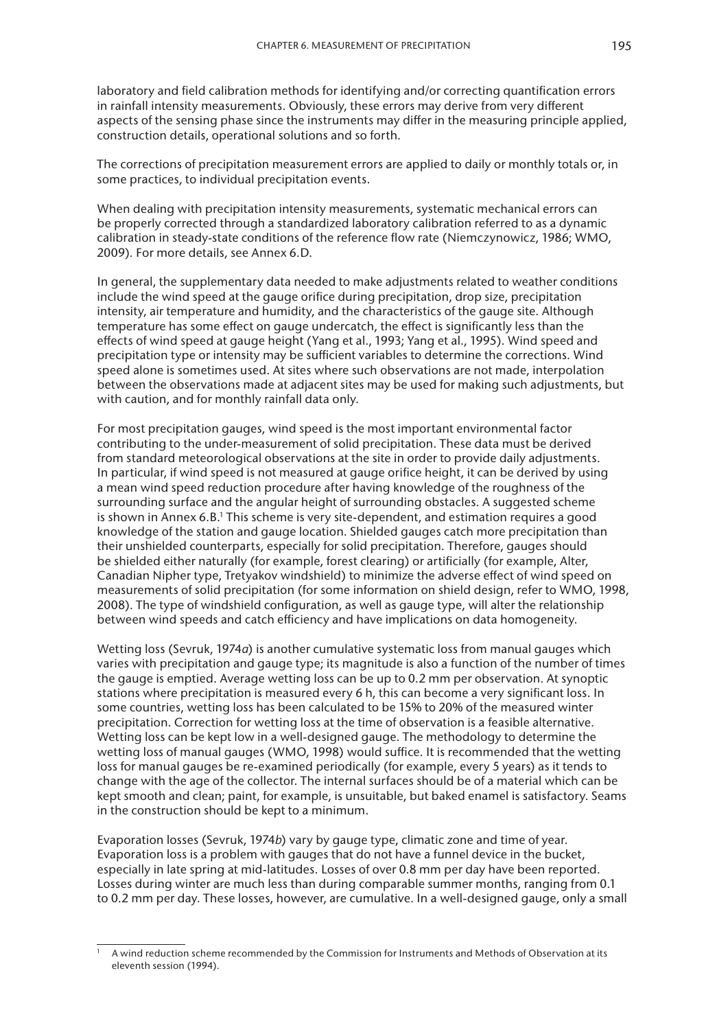laboratory and field calibration methods for identifying and/or correcting quantification errors in rainfall intensity measurements. Obviously, these errors may derive from very different aspects of the sensing phase since the instruments may differ in the measuring principle applied, construction details, operational solutions and so forth.

The corrections of precipitation measurement errors are applied to daily or monthly totals or, in some practices, to individual precipitation events.

When dealing with precipitation intensity measurements, systematic mechanical errors can be properly corrected through a standardized laboratory calibration referred to as a dynamic calibration in steady-state conditions of the reference flow rate (Niemczynowicz, 1986; WMO, 2009). For more details, see Annex 6.D.

In general, the supplementary data needed to make adjustments related to weather conditions include the wind speed at the gauge orifice during precipitation, drop size, precipitation intensity, air temperature and humidity, and the characteristics of the gauge site. Although temperature has some effect on gauge undercatch, the effect is significantly less than the effects of wind speed at gauge height (Yang et al., 1993; Yang et al., 1995). Wind speed and precipitation type or intensity may be sufficient variables to determine the corrections. Wind speed alone is sometimes used. At sites where such observations are not made, interpolation between the observations made at adjacent sites may be used for making such adjustments, but with caution, and for monthly rainfall data only.

For most precipitation gauges, wind speed is the most important environmental factor contributing to the under-measurement of solid precipitation. These data must be derived from standard meteorological observations at the site in order to provide daily adjustments. In particular, if wind speed is not measured at gauge orifice height, it can be derived by using a mean wind speed reduction procedure after having knowledge of the roughness of the surrounding surface and the angular height of surrounding obstacles. A suggested scheme is shown in Annex 6.B.<sup>1</sup> This scheme is very site-dependent, and estimation requires a good knowledge of the station and gauge location. Shielded gauges catch more precipitation than their unshielded counterparts, especially for solid precipitation. Therefore, gauges should be shielded either naturally (for example, forest clearing) or artificially (for example, Alter, Canadian Nipher type, Tretyakov windshield) to minimize the adverse effect of wind speed on measurements of solid precipitation (for some information on shield design, refer to WMO, 1998, 2008). The type of windshield configuration, as well as gauge type, will alter the relationship between wind speeds and catch efficiency and have implications on data homogeneity.

Wetting loss (Sevruk, 1974*a*) is another cumulative systematic loss from manual gauges which varies with precipitation and gauge type; its magnitude is also a function of the number of times the gauge is emptied. Average wetting loss can be up to 0.2 mm per observation. At synoptic stations where precipitation is measured every 6 h, this can become a very significant loss. In some countries, wetting loss has been calculated to be 15% to 20% of the measured winter precipitation. Correction for wetting loss at the time of observation is a feasible alternative. Wetting loss can be kept low in a well-designed gauge. The methodology to determine the wetting loss of manual gauges (WMO, 1998) would suffice. It is recommended that the wetting loss for manual gauges be re-examined periodically (for example, every 5 years) as it tends to change with the age of the collector. The internal surfaces should be of a material which can be kept smooth and clean; paint, for example, is unsuitable, but baked enamel is satisfactory. Seams in the construction should be kept to a minimum.

Evaporation losses (Sevruk, 1974*b*) vary by gauge type, climatic zone and time of year. Evaporation loss is a problem with gauges that do not have a funnel device in the bucket, especially in late spring at mid-latitudes. Losses of over 0.8 mm per day have been reported. Losses during winter are much less than during comparable summer months, ranging from 0.1 to 0.2 mm per day. These losses, however, are cumulative. In a well-designed gauge, only a small

A wind reduction scheme recommended by the Commission for Instruments and Methods of Observation at its eleventh session (1994).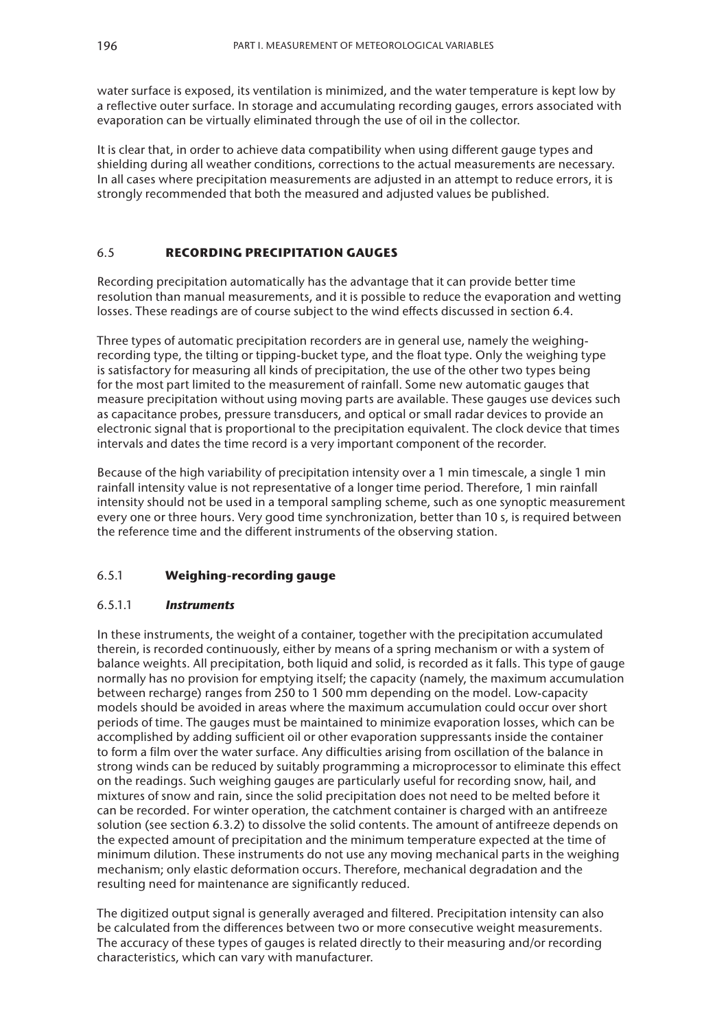water surface is exposed, its ventilation is minimized, and the water temperature is kept low by a reflective outer surface. In storage and accumulating recording gauges, errors associated with evaporation can be virtually eliminated through the use of oil in the collector.

It is clear that, in order to achieve data compatibility when using different gauge types and shielding during all weather conditions, corrections to the actual measurements are necessary. In all cases where precipitation measurements are adjusted in an attempt to reduce errors, it is strongly recommended that both the measured and adjusted values be published.

# 6.5 **RECORDING PRECIPITATION GAUGES**

Recording precipitation automatically has the advantage that it can provide better time resolution than manual measurements, and it is possible to reduce the evaporation and wetting losses. These readings are of course subject to the wind effects discussed in section 6.4.

Three types of automatic precipitation recorders are in general use, namely the weighingrecording type, the tilting or tipping-bucket type, and the float type. Only the weighing type is satisfactory for measuring all kinds of precipitation, the use of the other two types being for the most part limited to the measurement of rainfall. Some new automatic gauges that measure precipitation without using moving parts are available. These gauges use devices such as capacitance probes, pressure transducers, and optical or small radar devices to provide an electronic signal that is proportional to the precipitation equivalent. The clock device that times intervals and dates the time record is a very important component of the recorder.

Because of the high variability of precipitation intensity over a 1 min timescale, a single 1 min rainfall intensity value is not representative of a longer time period. Therefore, 1 min rainfall intensity should not be used in a temporal sampling scheme, such as one synoptic measurement every one or three hours. Very good time synchronization, better than 10 s, is required between the reference time and the different instruments of the observing station.

# 6.5.1 **Weighing-recording gauge**

# 6.5.1.1 *Instruments*

In these instruments, the weight of a container, together with the precipitation accumulated therein, is recorded continuously, either by means of a spring mechanism or with a system of balance weights. All precipitation, both liquid and solid, is recorded as it falls. This type of gauge normally has no provision for emptying itself; the capacity (namely, the maximum accumulation between recharge) ranges from 250 to 1 500 mm depending on the model. Low-capacity models should be avoided in areas where the maximum accumulation could occur over short periods of time. The gauges must be maintained to minimize evaporation losses, which can be accomplished by adding sufficient oil or other evaporation suppressants inside the container to form a film over the water surface. Any difficulties arising from oscillation of the balance in strong winds can be reduced by suitably programming a microprocessor to eliminate this effect on the readings. Such weighing gauges are particularly useful for recording snow, hail, and mixtures of snow and rain, since the solid precipitation does not need to be melted before it can be recorded. For winter operation, the catchment container is charged with an antifreeze solution (see section 6.3.2) to dissolve the solid contents. The amount of antifreeze depends on the expected amount of precipitation and the minimum temperature expected at the time of minimum dilution. These instruments do not use any moving mechanical parts in the weighing mechanism; only elastic deformation occurs. Therefore, mechanical degradation and the resulting need for maintenance are significantly reduced.

The digitized output signal is generally averaged and filtered. Precipitation intensity can also be calculated from the differences between two or more consecutive weight measurements. The accuracy of these types of gauges is related directly to their measuring and/or recording characteristics, which can vary with manufacturer.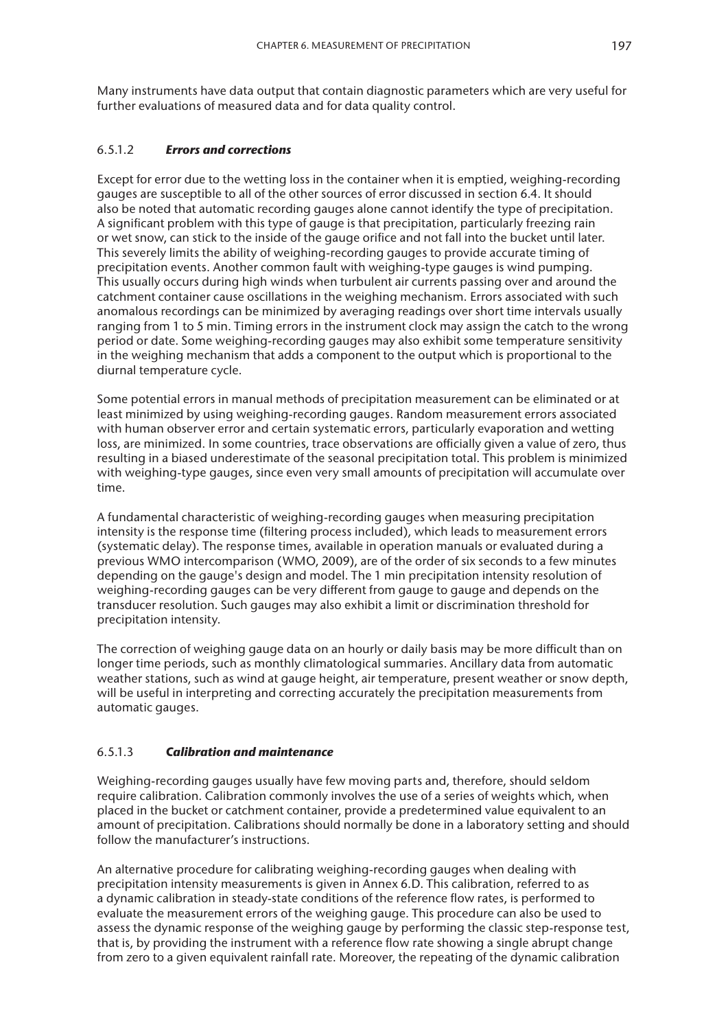Many instruments have data output that contain diagnostic parameters which are very useful for further evaluations of measured data and for data quality control.

## 6.5.1.2 *Errors and corrections*

Except for error due to the wetting loss in the container when it is emptied, weighing-recording gauges are susceptible to all of the other sources of error discussed in section 6.4. It should also be noted that automatic recording gauges alone cannot identify the type of precipitation. A significant problem with this type of gauge is that precipitation, particularly freezing rain or wet snow, can stick to the inside of the gauge orifice and not fall into the bucket until later. This severely limits the ability of weighing-recording gauges to provide accurate timing of precipitation events. Another common fault with weighing-type gauges is wind pumping. This usually occurs during high winds when turbulent air currents passing over and around the catchment container cause oscillations in the weighing mechanism. Errors associated with such anomalous recordings can be minimized by averaging readings over short time intervals usually ranging from 1 to 5 min. Timing errors in the instrument clock may assign the catch to the wrong period or date. Some weighing-recording gauges may also exhibit some temperature sensitivity in the weighing mechanism that adds a component to the output which is proportional to the diurnal temperature cycle.

Some potential errors in manual methods of precipitation measurement can be eliminated or at least minimized by using weighing-recording gauges. Random measurement errors associated with human observer error and certain systematic errors, particularly evaporation and wetting loss, are minimized. In some countries, trace observations are officially given a value of zero, thus resulting in a biased underestimate of the seasonal precipitation total. This problem is minimized with weighing-type gauges, since even very small amounts of precipitation will accumulate over time.

A fundamental characteristic of weighing-recording gauges when measuring precipitation intensity is the response time (filtering process included), which leads to measurement errors (systematic delay). The response times, available in operation manuals or evaluated during a previous WMO intercomparison (WMO, 2009), are of the order of six seconds to a few minutes depending on the gauge's design and model. The 1 min precipitation intensity resolution of weighing-recording gauges can be very different from gauge to gauge and depends on the transducer resolution. Such gauges may also exhibit a limit or discrimination threshold for precipitation intensity.

The correction of weighing gauge data on an hourly or daily basis may be more difficult than on longer time periods, such as monthly climatological summaries. Ancillary data from automatic weather stations, such as wind at gauge height, air temperature, present weather or snow depth, will be useful in interpreting and correcting accurately the precipitation measurements from automatic gauges.

# 6.5.1.3 *Calibration and maintenance*

Weighing-recording gauges usually have few moving parts and, therefore, should seldom require calibration. Calibration commonly involves the use of a series of weights which, when placed in the bucket or catchment container, provide a predetermined value equivalent to an amount of precipitation. Calibrations should normally be done in a laboratory setting and should follow the manufacturer's instructions.

An alternative procedure for calibrating weighing-recording gauges when dealing with precipitation intensity measurements is given in Annex 6.D. This calibration, referred to as a dynamic calibration in steady-state conditions of the reference flow rates, is performed to evaluate the measurement errors of the weighing gauge. This procedure can also be used to assess the dynamic response of the weighing gauge by performing the classic step-response test, that is, by providing the instrument with a reference flow rate showing a single abrupt change from zero to a given equivalent rainfall rate. Moreover, the repeating of the dynamic calibration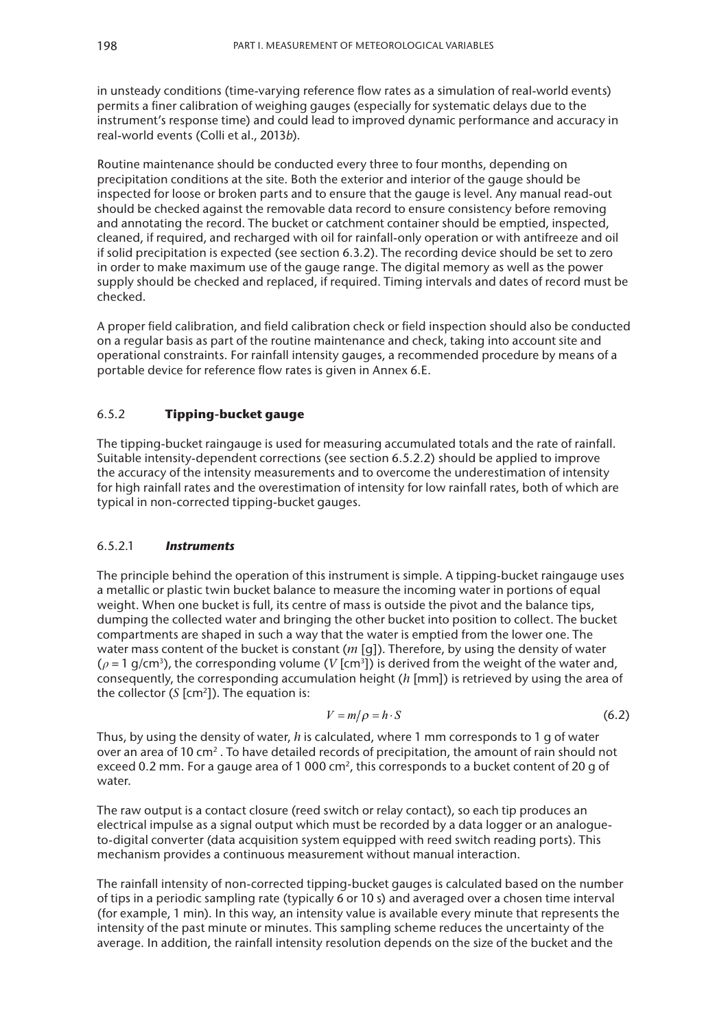in unsteady conditions (time-varying reference flow rates as a simulation of real-world events) permits a finer calibration of weighing gauges (especially for systematic delays due to the instrument's response time) and could lead to improved dynamic performance and accuracy in real-world events (Colli et al., 2013*b*).

Routine maintenance should be conducted every three to four months, depending on precipitation conditions at the site. Both the exterior and interior of the gauge should be inspected for loose or broken parts and to ensure that the gauge is level. Any manual read-out should be checked against the removable data record to ensure consistency before removing and annotating the record. The bucket or catchment container should be emptied, inspected, cleaned, if required, and recharged with oil for rainfall-only operation or with antifreeze and oil if solid precipitation is expected (see section 6.3.2). The recording device should be set to zero in order to make maximum use of the gauge range. The digital memory as well as the power supply should be checked and replaced, if required. Timing intervals and dates of record must be checked.

A proper field calibration, and field calibration check or field inspection should also be conducted on a regular basis as part of the routine maintenance and check, taking into account site and operational constraints. For rainfall intensity gauges, a recommended procedure by means of a portable device for reference flow rates is given in Annex 6.E.

# 6.5.2 **Tipping-bucket gauge**

The tipping-bucket raingauge is used for measuring accumulated totals and the rate of rainfall. Suitable intensity-dependent corrections (see section 6.5.2.2) should be applied to improve the accuracy of the intensity measurements and to overcome the underestimation of intensity for high rainfall rates and the overestimation of intensity for low rainfall rates, both of which are typical in non-corrected tipping-bucket gauges.

#### 6.5.2.1 *Instruments*

The principle behind the operation of this instrument is simple. A tipping-bucket raingauge uses a metallic or plastic twin bucket balance to measure the incoming water in portions of equal weight. When one bucket is full, its centre of mass is outside the pivot and the balance tips, dumping the collected water and bringing the other bucket into position to collect. The bucket compartments are shaped in such a way that the water is emptied from the lower one. The water mass content of the bucket is constant (*m* [g]). Therefore, by using the density of water  $(\rho = 1 \text{ g/cm}^3)$ , the corresponding volume (*V* [cm<sup>3</sup>]) is derived from the weight of the water and, consequently, the corresponding accumulation height (*h* [mm]) is retrieved by using the area of the collector  $(S[cm^2])$ . The equation is:

$$
V = m/\rho = h \cdot S \tag{6.2}
$$

Thus, by using the density of water, *h* is calculated, where 1 mm corresponds to 1 g of water over an area of 10 cm<sup>2</sup>. To have detailed records of precipitation, the amount of rain should not exceed 0.2 mm. For a gauge area of 1 000 cm<sup>2</sup>, this corresponds to a bucket content of 20 g of water.

The raw output is a contact closure (reed switch or relay contact), so each tip produces an electrical impulse as a signal output which must be recorded by a data logger or an analogueto-digital converter (data acquisition system equipped with reed switch reading ports). This mechanism provides a continuous measurement without manual interaction.

The rainfall intensity of non-corrected tipping-bucket gauges is calculated based on the number of tips in a periodic sampling rate (typically 6 or 10 s) and averaged over a chosen time interval (for example, 1 min). In this way, an intensity value is available every minute that represents the intensity of the past minute or minutes. This sampling scheme reduces the uncertainty of the average. In addition, the rainfall intensity resolution depends on the size of the bucket and the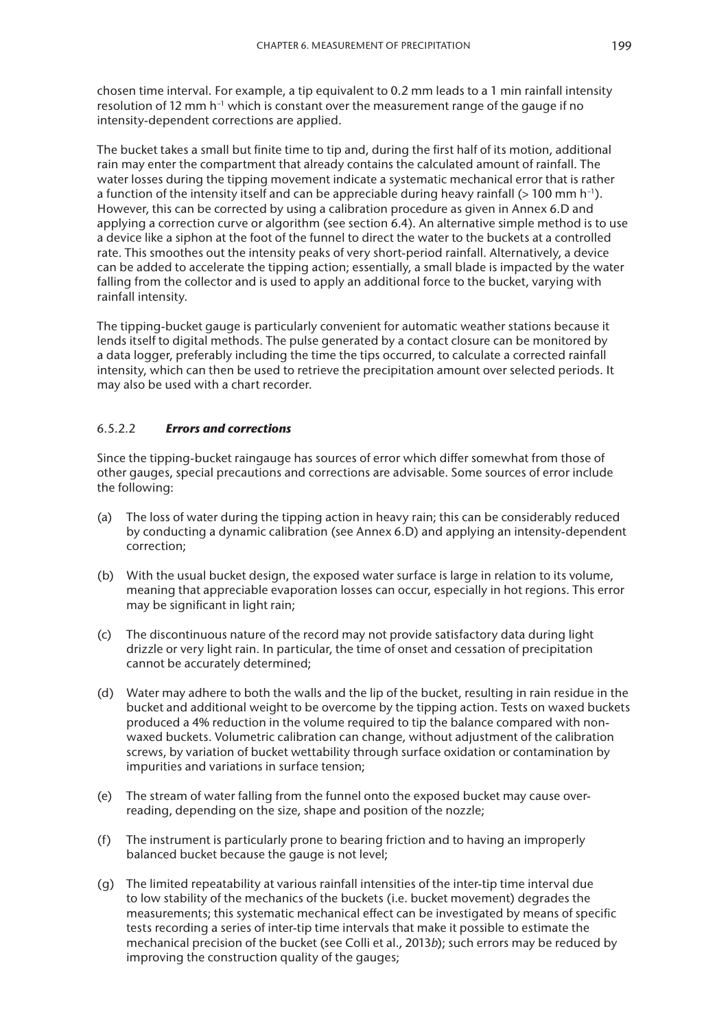chosen time interval. For example, a tip equivalent to 0.2 mm leads to a 1 min rainfall intensity resolution of 12 mm  $h^{-1}$  which is constant over the measurement range of the gauge if no intensity-dependent corrections are applied.

The bucket takes a small but finite time to tip and, during the first half of its motion, additional rain may enter the compartment that already contains the calculated amount of rainfall. The water losses during the tipping movement indicate a systematic mechanical error that is rather a function of the intensity itself and can be appreciable during heavy rainfall (> 100 mm  $h^{-1}$ ). However, this can be corrected by using a calibration procedure as given in Annex 6.D and applying a correction curve or algorithm (see section 6.4). An alternative simple method is to use a device like a siphon at the foot of the funnel to direct the water to the buckets at a controlled rate. This smoothes out the intensity peaks of very short-period rainfall. Alternatively, a device can be added to accelerate the tipping action; essentially, a small blade is impacted by the water falling from the collector and is used to apply an additional force to the bucket, varying with rainfall intensity.

The tipping-bucket gauge is particularly convenient for automatic weather stations because it lends itself to digital methods. The pulse generated by a contact closure can be monitored by a data logger, preferably including the time the tips occurred, to calculate a corrected rainfall intensity, which can then be used to retrieve the precipitation amount over selected periods. It may also be used with a chart recorder.

#### 6.5.2.2 *Errors and corrections*

Since the tipping-bucket raingauge has sources of error which differ somewhat from those of other gauges, special precautions and corrections are advisable. Some sources of error include the following:

- (a) The loss of water during the tipping action in heavy rain; this can be considerably reduced by conducting a dynamic calibration (see Annex 6.D) and applying an intensity-dependent correction;
- (b) With the usual bucket design, the exposed water surface is large in relation to its volume, meaning that appreciable evaporation losses can occur, especially in hot regions. This error may be significant in light rain;
- (c) The discontinuous nature of the record may not provide satisfactory data during light drizzle or very light rain. In particular, the time of onset and cessation of precipitation cannot be accurately determined;
- (d) Water may adhere to both the walls and the lip of the bucket, resulting in rain residue in the bucket and additional weight to be overcome by the tipping action. Tests on waxed buckets produced a 4% reduction in the volume required to tip the balance compared with nonwaxed buckets. Volumetric calibration can change, without adjustment of the calibration screws, by variation of bucket wettability through surface oxidation or contamination by impurities and variations in surface tension;
- (e) The stream of water falling from the funnel onto the exposed bucket may cause overreading, depending on the size, shape and position of the nozzle;
- (f) The instrument is particularly prone to bearing friction and to having an improperly balanced bucket because the gauge is not level;
- (g) The limited repeatability at various rainfall intensities of the inter-tip time interval due to low stability of the mechanics of the buckets (i.e. bucket movement) degrades the measurements; this systematic mechanical effect can be investigated by means of specific tests recording a series of inter-tip time intervals that make it possible to estimate the mechanical precision of the bucket (see Colli et al., 2013*b*); such errors may be reduced by improving the construction quality of the gauges;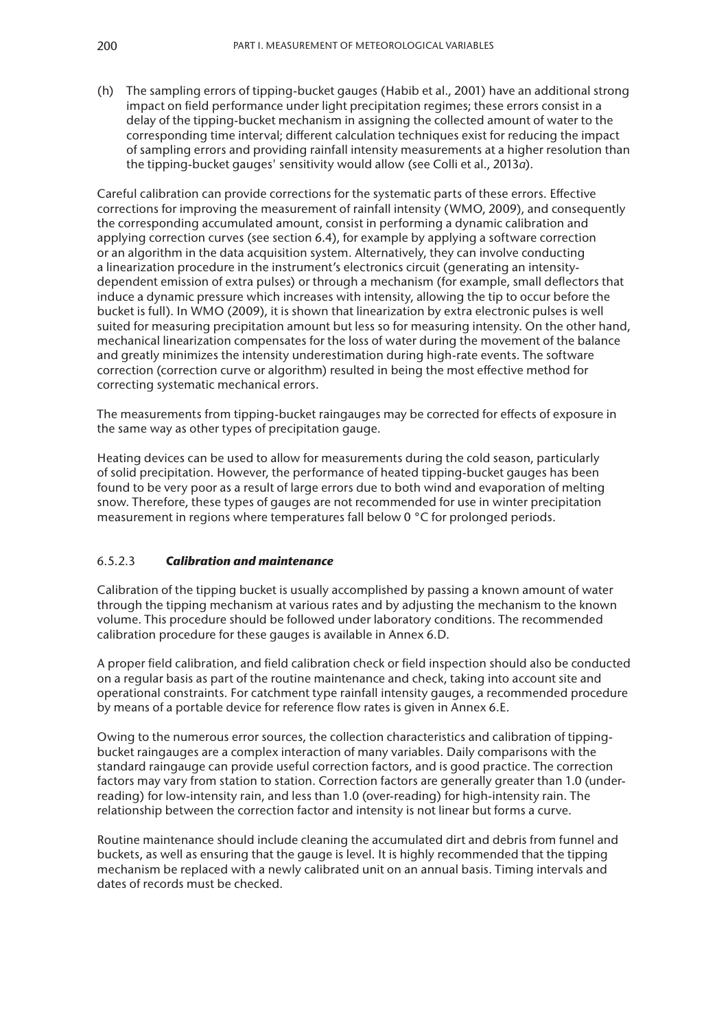(h) The sampling errors of tipping-bucket gauges (Habib et al., 2001) have an additional strong impact on field performance under light precipitation regimes; these errors consist in a delay of the tipping-bucket mechanism in assigning the collected amount of water to the corresponding time interval; different calculation techniques exist for reducing the impact of sampling errors and providing rainfall intensity measurements at a higher resolution than the tipping-bucket gauges' sensitivity would allow (see Colli et al., 2013*a*).

Careful calibration can provide corrections for the systematic parts of these errors. Effective corrections for improving the measurement of rainfall intensity (WMO, 2009), and consequently the corresponding accumulated amount, consist in performing a dynamic calibration and applying correction curves (see section 6.4), for example by applying a software correction or an algorithm in the data acquisition system. Alternatively, they can involve conducting a linearization procedure in the instrument's electronics circuit (generating an intensitydependent emission of extra pulses) or through a mechanism (for example, small deflectors that induce a dynamic pressure which increases with intensity, allowing the tip to occur before the bucket is full). In WMO (2009), it is shown that linearization by extra electronic pulses is well suited for measuring precipitation amount but less so for measuring intensity. On the other hand, mechanical linearization compensates for the loss of water during the movement of the balance and greatly minimizes the intensity underestimation during high-rate events. The software correction (correction curve or algorithm) resulted in being the most effective method for correcting systematic mechanical errors.

The measurements from tipping-bucket raingauges may be corrected for effects of exposure in the same way as other types of precipitation gauge.

Heating devices can be used to allow for measurements during the cold season, particularly of solid precipitation. However, the performance of heated tipping-bucket gauges has been found to be very poor as a result of large errors due to both wind and evaporation of melting snow. Therefore, these types of gauges are not recommended for use in winter precipitation measurement in regions where temperatures fall below 0 °C for prolonged periods.

#### 6.5.2.3 *Calibration and maintenance*

Calibration of the tipping bucket is usually accomplished by passing a known amount of water through the tipping mechanism at various rates and by adjusting the mechanism to the known volume. This procedure should be followed under laboratory conditions. The recommended calibration procedure for these gauges is available in Annex 6.D.

A proper field calibration, and field calibration check or field inspection should also be conducted on a regular basis as part of the routine maintenance and check, taking into account site and operational constraints. For catchment type rainfall intensity gauges, a recommended procedure by means of a portable device for reference flow rates is given in Annex 6.E.

Owing to the numerous error sources, the collection characteristics and calibration of tippingbucket raingauges are a complex interaction of many variables. Daily comparisons with the standard raingauge can provide useful correction factors, and is good practice. The correction factors may vary from station to station. Correction factors are generally greater than 1.0 (underreading) for low-intensity rain, and less than 1.0 (over-reading) for high-intensity rain. The relationship between the correction factor and intensity is not linear but forms a curve.

Routine maintenance should include cleaning the accumulated dirt and debris from funnel and buckets, as well as ensuring that the gauge is level. It is highly recommended that the tipping mechanism be replaced with a newly calibrated unit on an annual basis. Timing intervals and dates of records must be checked.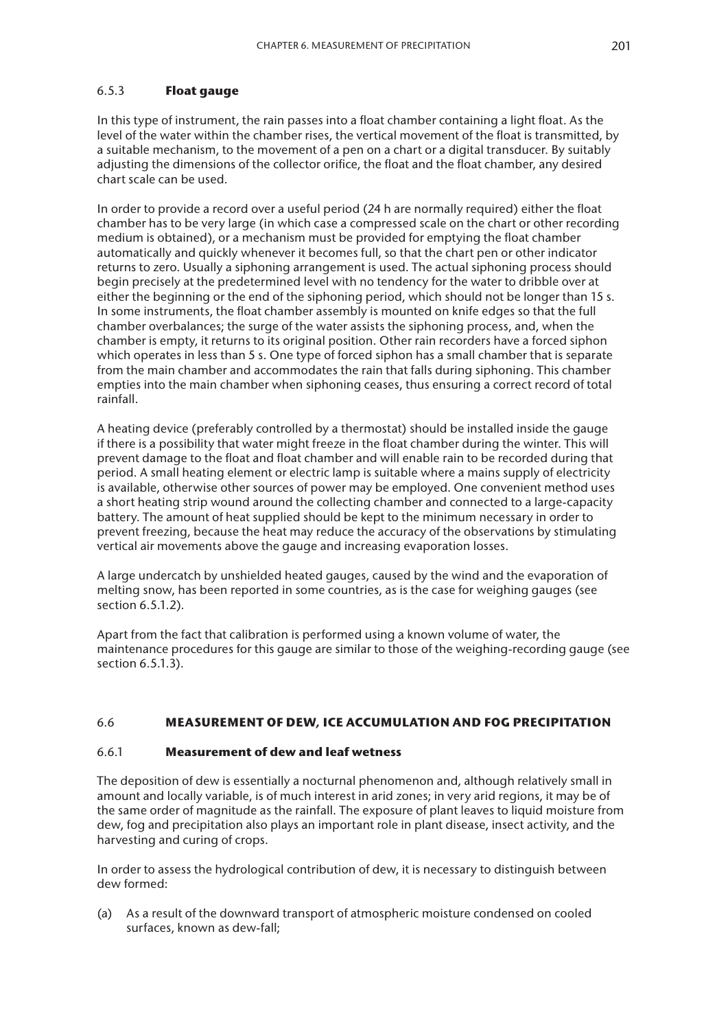# 6.5.3 **Float gauge**

In this type of instrument, the rain passes into a float chamber containing a light float. As the level of the water within the chamber rises, the vertical movement of the float is transmitted, by a suitable mechanism, to the movement of a pen on a chart or a digital transducer. By suitably adjusting the dimensions of the collector orifice, the float and the float chamber, any desired chart scale can be used.

In order to provide a record over a useful period (24 h are normally required) either the float chamber has to be very large (in which case a compressed scale on the chart or other recording medium is obtained), or a mechanism must be provided for emptying the float chamber automatically and quickly whenever it becomes full, so that the chart pen or other indicator returns to zero. Usually a siphoning arrangement is used. The actual siphoning process should begin precisely at the predetermined level with no tendency for the water to dribble over at either the beginning or the end of the siphoning period, which should not be longer than 15 s. In some instruments, the float chamber assembly is mounted on knife edges so that the full chamber overbalances; the surge of the water assists the siphoning process, and, when the chamber is empty, it returns to its original position. Other rain recorders have a forced siphon which operates in less than 5 s. One type of forced siphon has a small chamber that is separate from the main chamber and accommodates the rain that falls during siphoning. This chamber empties into the main chamber when siphoning ceases, thus ensuring a correct record of total rainfall.

A heating device (preferably controlled by a thermostat) should be installed inside the gauge if there is a possibility that water might freeze in the float chamber during the winter. This will prevent damage to the float and float chamber and will enable rain to be recorded during that period. A small heating element or electric lamp is suitable where a mains supply of electricity is available, otherwise other sources of power may be employed. One convenient method uses a short heating strip wound around the collecting chamber and connected to a large-capacity battery. The amount of heat supplied should be kept to the minimum necessary in order to prevent freezing, because the heat may reduce the accuracy of the observations by stimulating vertical air movements above the gauge and increasing evaporation losses.

A large undercatch by unshielded heated gauges, caused by the wind and the evaporation of melting snow, has been reported in some countries, as is the case for weighing gauges (see section 6.5.1.2).

Apart from the fact that calibration is performed using a known volume of water, the maintenance procedures for this gauge are similar to those of the weighing-recording gauge (see section 6.5.1.3).

## 6.6 **MEASUREMENT OF DEW, ICE ACCUMULATION AND FOG PRECIPITATION**

#### 6.6.1 **Measurement of dew and leaf wetness**

The deposition of dew is essentially a nocturnal phenomenon and, although relatively small in amount and locally variable, is of much interest in arid zones; in very arid regions, it may be of the same order of magnitude as the rainfall. The exposure of plant leaves to liquid moisture from dew, fog and precipitation also plays an important role in plant disease, insect activity, and the harvesting and curing of crops.

In order to assess the hydrological contribution of dew, it is necessary to distinguish between dew formed:

(a) As a result of the downward transport of atmospheric moisture condensed on cooled surfaces, known as dew-fall;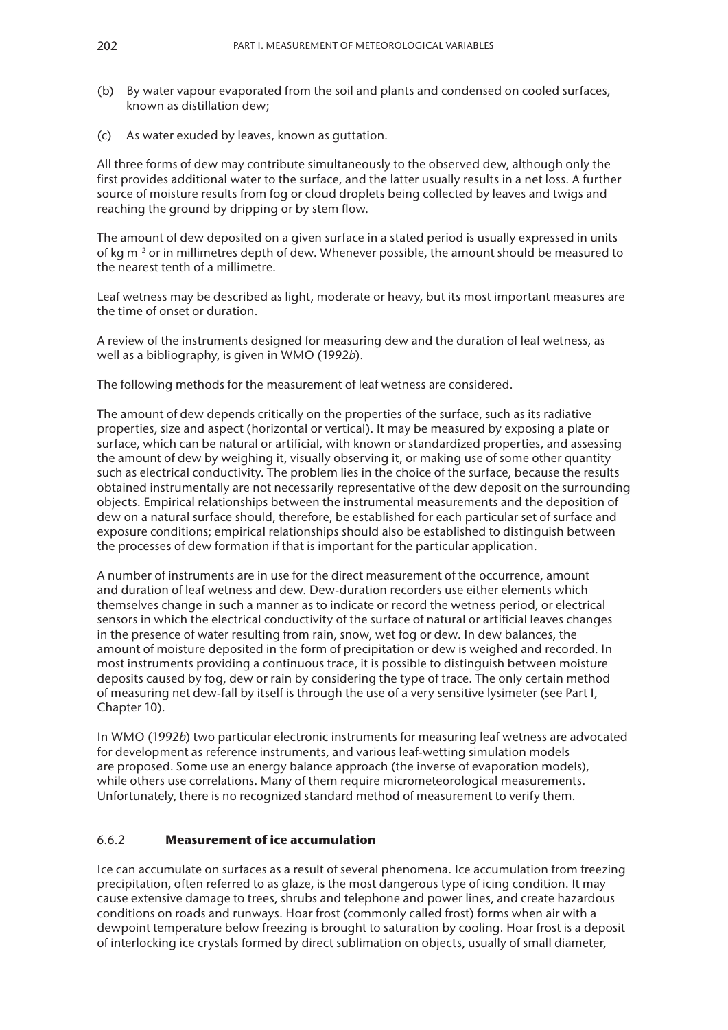- (b) By water vapour evaporated from the soil and plants and condensed on cooled surfaces, known as distillation dew;
- (c) As water exuded by leaves, known as guttation.

All three forms of dew may contribute simultaneously to the observed dew, although only the first provides additional water to the surface, and the latter usually results in a net loss. A further source of moisture results from fog or cloud droplets being collected by leaves and twigs and reaching the ground by dripping or by stem flow.

The amount of dew deposited on a given surface in a stated period is usually expressed in units of kg  $m<sup>-2</sup>$  or in millimetres depth of dew. Whenever possible, the amount should be measured to the nearest tenth of a millimetre.

Leaf wetness may be described as light, moderate or heavy, but its most important measures are the time of onset or duration.

A review of the instruments designed for measuring dew and the duration of leaf wetness, as well as a bibliography, is given in WMO (1992*b*).

The following methods for the measurement of leaf wetness are considered.

The amount of dew depends critically on the properties of the surface, such as its radiative properties, size and aspect (horizontal or vertical). It may be measured by exposing a plate or surface, which can be natural or artificial, with known or standardized properties, and assessing the amount of dew by weighing it, visually observing it, or making use of some other quantity such as electrical conductivity. The problem lies in the choice of the surface, because the results obtained instrumentally are not necessarily representative of the dew deposit on the surrounding objects. Empirical relationships between the instrumental measurements and the deposition of dew on a natural surface should, therefore, be established for each particular set of surface and exposure conditions; empirical relationships should also be established to distinguish between the processes of dew formation if that is important for the particular application.

A number of instruments are in use for the direct measurement of the occurrence, amount and duration of leaf wetness and dew. Dew-duration recorders use either elements which themselves change in such a manner as to indicate or record the wetness period, or electrical sensors in which the electrical conductivity of the surface of natural or artificial leaves changes in the presence of water resulting from rain, snow, wet fog or dew. In dew balances, the amount of moisture deposited in the form of precipitation or dew is weighed and recorded. In most instruments providing a continuous trace, it is possible to distinguish between moisture deposits caused by fog, dew or rain by considering the type of trace. The only certain method of measuring net dew-fall by itself is through the use of a very sensitive lysimeter (see Part I, Chapter 10).

In WMO (1992*b*) two particular electronic instruments for measuring leaf wetness are advocated for development as reference instruments, and various leaf-wetting simulation models are proposed. Some use an energy balance approach (the inverse of evaporation models), while others use correlations. Many of them require micrometeorological measurements. Unfortunately, there is no recognized standard method of measurement to verify them.

#### 6.6.2 **Measurement of ice accumulation**

Ice can accumulate on surfaces as a result of several phenomena. Ice accumulation from freezing precipitation, often referred to as glaze, is the most dangerous type of icing condition. It may cause extensive damage to trees, shrubs and telephone and power lines, and create hazardous conditions on roads and runways. Hoar frost (commonly called frost) forms when air with a dewpoint temperature below freezing is brought to saturation by cooling. Hoar frost is a deposit of interlocking ice crystals formed by direct sublimation on objects, usually of small diameter,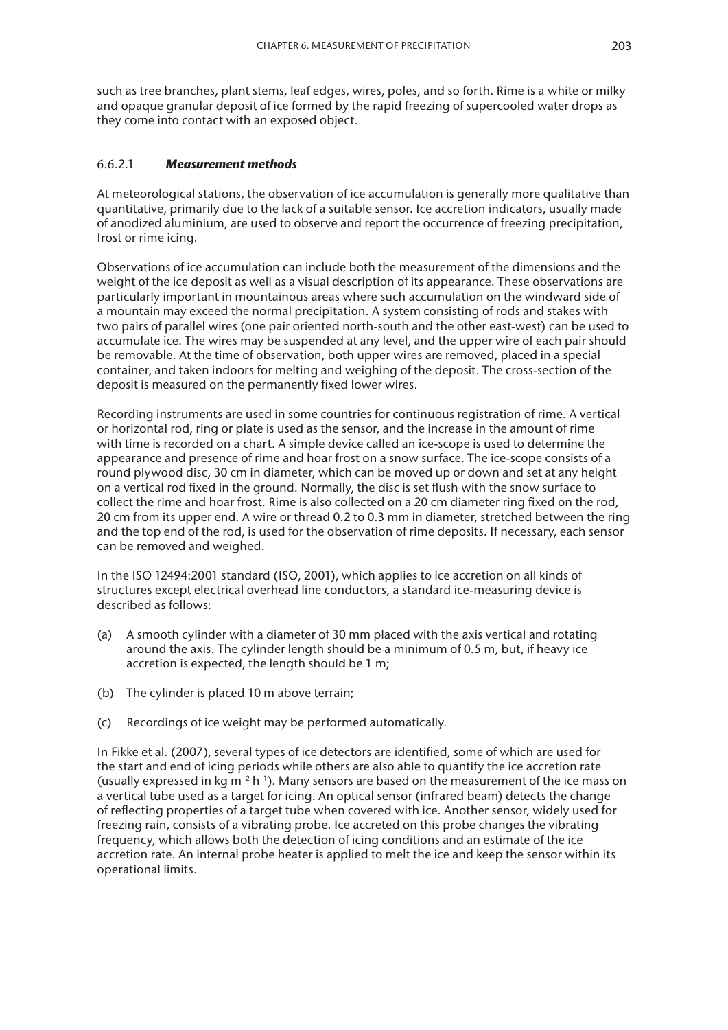such as tree branches, plant stems, leaf edges, wires, poles, and so forth. Rime is a white or milky and opaque granular deposit of ice formed by the rapid freezing of supercooled water drops as they come into contact with an exposed object.

#### 6.6.2.1 *Measurement methods*

At meteorological stations, the observation of ice accumulation is generally more qualitative than quantitative, primarily due to the lack of a suitable sensor. Ice accretion indicators, usually made of anodized aluminium, are used to observe and report the occurrence of freezing precipitation, frost or rime icing.

Observations of ice accumulation can include both the measurement of the dimensions and the weight of the ice deposit as well as a visual description of its appearance. These observations are particularly important in mountainous areas where such accumulation on the windward side of a mountain may exceed the normal precipitation. A system consisting of rods and stakes with two pairs of parallel wires (one pair oriented north-south and the other east-west) can be used to accumulate ice. The wires may be suspended at any level, and the upper wire of each pair should be removable. At the time of observation, both upper wires are removed, placed in a special container, and taken indoors for melting and weighing of the deposit. The cross-section of the deposit is measured on the permanently fixed lower wires.

Recording instruments are used in some countries for continuous registration of rime. A vertical or horizontal rod, ring or plate is used as the sensor, and the increase in the amount of rime with time is recorded on a chart. A simple device called an ice-scope is used to determine the appearance and presence of rime and hoar frost on a snow surface. The ice-scope consists of a round plywood disc, 30 cm in diameter, which can be moved up or down and set at any height on a vertical rod fixed in the ground. Normally, the disc is set flush with the snow surface to collect the rime and hoar frost. Rime is also collected on a 20 cm diameter ring fixed on the rod, 20 cm from its upper end. A wire or thread 0.2 to 0.3 mm in diameter, stretched between the ring and the top end of the rod, is used for the observation of rime deposits. If necessary, each sensor can be removed and weighed.

In the ISO 12494:2001 standard (ISO, 2001), which applies to ice accretion on all kinds of structures except electrical overhead line conductors, a standard ice-measuring device is described as follows:

- (a) A smooth cylinder with a diameter of 30 mm placed with the axis vertical and rotating around the axis. The cylinder length should be a minimum of 0.5 m, but, if heavy ice accretion is expected, the length should be 1 m;
- (b) The cylinder is placed 10 m above terrain;
- (c) Recordings of ice weight may be performed automatically.

In Fikke et al. (2007), several types of ice detectors are identified, some of which are used for the start and end of icing periods while others are also able to quantify the ice accretion rate (usually expressed in kg  $m^{-2}$  h<sup>-1</sup>). Many sensors are based on the measurement of the ice mass on a vertical tube used as a target for icing. An optical sensor (infrared beam) detects the change of reflecting properties of a target tube when covered with ice. Another sensor, widely used for freezing rain, consists of a vibrating probe. Ice accreted on this probe changes the vibrating frequency, which allows both the detection of icing conditions and an estimate of the ice accretion rate. An internal probe heater is applied to melt the ice and keep the sensor within its operational limits.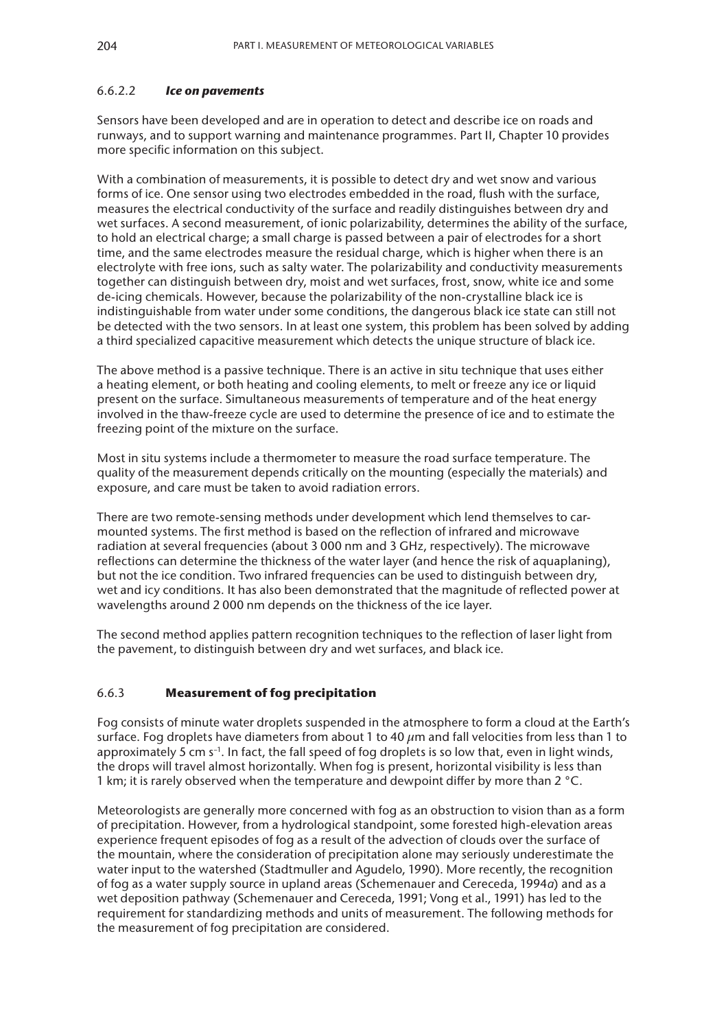#### 6.6.2.2 *Ice on pavements*

Sensors have been developed and are in operation to detect and describe ice on roads and runways, and to support warning and maintenance programmes. Part II, Chapter 10 provides more specific information on this subject.

With a combination of measurements, it is possible to detect dry and wet snow and various forms of ice. One sensor using two electrodes embedded in the road, flush with the surface, measures the electrical conductivity of the surface and readily distinguishes between dry and wet surfaces. A second measurement, of ionic polarizability, determines the ability of the surface, to hold an electrical charge; a small charge is passed between a pair of electrodes for a short time, and the same electrodes measure the residual charge, which is higher when there is an electrolyte with free ions, such as salty water. The polarizability and conductivity measurements together can distinguish between dry, moist and wet surfaces, frost, snow, white ice and some de-icing chemicals. However, because the polarizability of the non-crystalline black ice is indistinguishable from water under some conditions, the dangerous black ice state can still not be detected with the two sensors. In at least one system, this problem has been solved by adding a third specialized capacitive measurement which detects the unique structure of black ice.

The above method is a passive technique. There is an active in situ technique that uses either a heating element, or both heating and cooling elements, to melt or freeze any ice or liquid present on the surface. Simultaneous measurements of temperature and of the heat energy involved in the thaw-freeze cycle are used to determine the presence of ice and to estimate the freezing point of the mixture on the surface.

Most in situ systems include a thermometer to measure the road surface temperature. The quality of the measurement depends critically on the mounting (especially the materials) and exposure, and care must be taken to avoid radiation errors.

There are two remote-sensing methods under development which lend themselves to carmounted systems. The first method is based on the reflection of infrared and microwave radiation at several frequencies (about 3 000 nm and 3 GHz, respectively). The microwave reflections can determine the thickness of the water layer (and hence the risk of aquaplaning), but not the ice condition. Two infrared frequencies can be used to distinguish between dry, wet and icy conditions. It has also been demonstrated that the magnitude of reflected power at wavelengths around 2 000 nm depends on the thickness of the ice layer.

The second method applies pattern recognition techniques to the reflection of laser light from the pavement, to distinguish between dry and wet surfaces, and black ice.

#### 6.6.3 **Measurement of fog precipitation**

Fog consists of minute water droplets suspended in the atmosphere to form a cloud at the Earth's surface. Fog droplets have diameters from about 1 to 40 *µ*m and fall velocities from less than 1 to approximately 5 cm  $s^{-1}$ . In fact, the fall speed of fog droplets is so low that, even in light winds, the drops will travel almost horizontally. When fog is present, horizontal visibility is less than 1 km; it is rarely observed when the temperature and dewpoint differ by more than 2 °C.

Meteorologists are generally more concerned with fog as an obstruction to vision than as a form of precipitation. However, from a hydrological standpoint, some forested high-elevation areas experience frequent episodes of fog as a result of the advection of clouds over the surface of the mountain, where the consideration of precipitation alone may seriously underestimate the water input to the watershed (Stadtmuller and Agudelo, 1990). More recently, the recognition of fog as a water supply source in upland areas (Schemenauer and Cereceda, 1994*a*) and as a wet deposition pathway (Schemenauer and Cereceda, 1991; Vong et al., 1991) has led to the requirement for standardizing methods and units of measurement. The following methods for the measurement of fog precipitation are considered.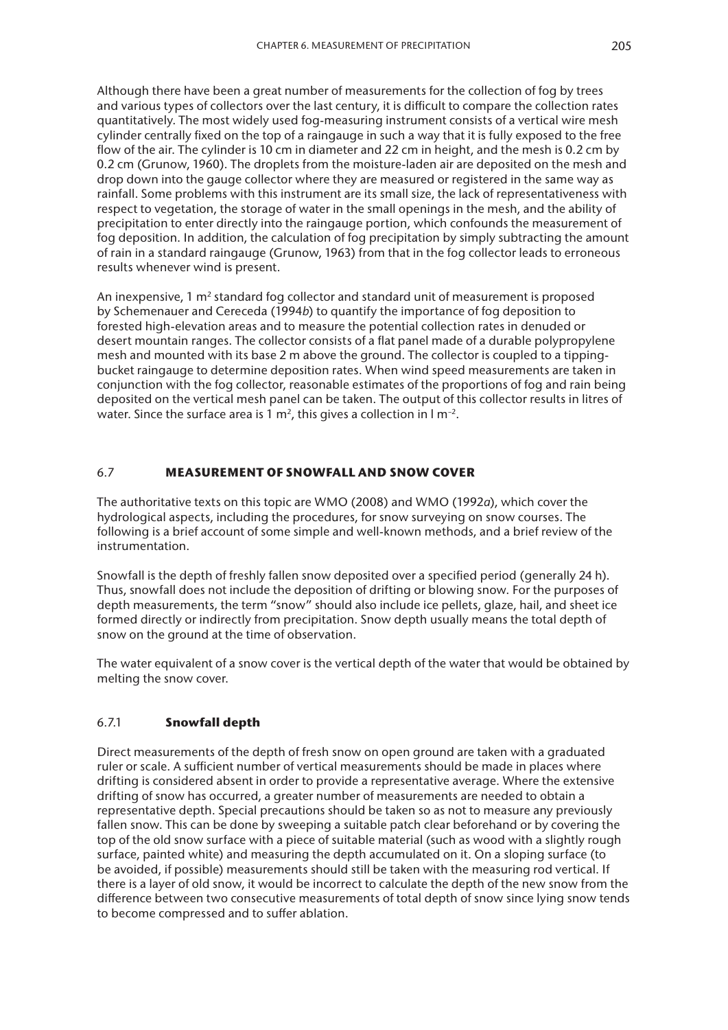Although there have been a great number of measurements for the collection of fog by trees and various types of collectors over the last century, it is difficult to compare the collection rates quantitatively. The most widely used fog-measuring instrument consists of a vertical wire mesh cylinder centrally fixed on the top of a raingauge in such a way that it is fully exposed to the free flow of the air. The cylinder is 10 cm in diameter and 22 cm in height, and the mesh is 0.2 cm by 0.2 cm (Grunow, 1960). The droplets from the moisture-laden air are deposited on the mesh and drop down into the gauge collector where they are measured or registered in the same way as rainfall. Some problems with this instrument are its small size, the lack of representativeness with respect to vegetation, the storage of water in the small openings in the mesh, and the ability of precipitation to enter directly into the raingauge portion, which confounds the measurement of fog deposition. In addition, the calculation of fog precipitation by simply subtracting the amount of rain in a standard raingauge (Grunow, 1963) from that in the fog collector leads to erroneous results whenever wind is present.

An inexpensive, 1 m<sup>2</sup> standard fog collector and standard unit of measurement is proposed by Schemenauer and Cereceda (1994*b*) to quantify the importance of fog deposition to forested high-elevation areas and to measure the potential collection rates in denuded or desert mountain ranges. The collector consists of a flat panel made of a durable polypropylene mesh and mounted with its base 2 m above the ground. The collector is coupled to a tippingbucket raingauge to determine deposition rates. When wind speed measurements are taken in conjunction with the fog collector, reasonable estimates of the proportions of fog and rain being deposited on the vertical mesh panel can be taken. The output of this collector results in litres of water. Since the surface area is 1 m<sup>2</sup>, this gives a collection in l m<sup>-2</sup>.

## 6.7 **MEASUREMENT OF SNOWFALL AND SNOW COVER**

The authoritative texts on this topic are WMO (2008) and WMO (1992*a*), which cover the hydrological aspects, including the procedures, for snow surveying on snow courses. The following is a brief account of some simple and well-known methods, and a brief review of the instrumentation.

Snowfall is the depth of freshly fallen snow deposited over a specified period (generally 24 h). Thus, snowfall does not include the deposition of drifting or blowing snow. For the purposes of depth measurements, the term "snow" should also include ice pellets, glaze, hail, and sheet ice formed directly or indirectly from precipitation. Snow depth usually means the total depth of snow on the ground at the time of observation.

The water equivalent of a snow cover is the vertical depth of the water that would be obtained by melting the snow cover.

## 6.7.1 **Snowfall depth**

Direct measurements of the depth of fresh snow on open ground are taken with a graduated ruler or scale. A sufficient number of vertical measurements should be made in places where drifting is considered absent in order to provide a representative average. Where the extensive drifting of snow has occurred, a greater number of measurements are needed to obtain a representative depth. Special precautions should be taken so as not to measure any previously fallen snow. This can be done by sweeping a suitable patch clear beforehand or by covering the top of the old snow surface with a piece of suitable material (such as wood with a slightly rough surface, painted white) and measuring the depth accumulated on it. On a sloping surface (to be avoided, if possible) measurements should still be taken with the measuring rod vertical. If there is a layer of old snow, it would be incorrect to calculate the depth of the new snow from the difference between two consecutive measurements of total depth of snow since lying snow tends to become compressed and to suffer ablation.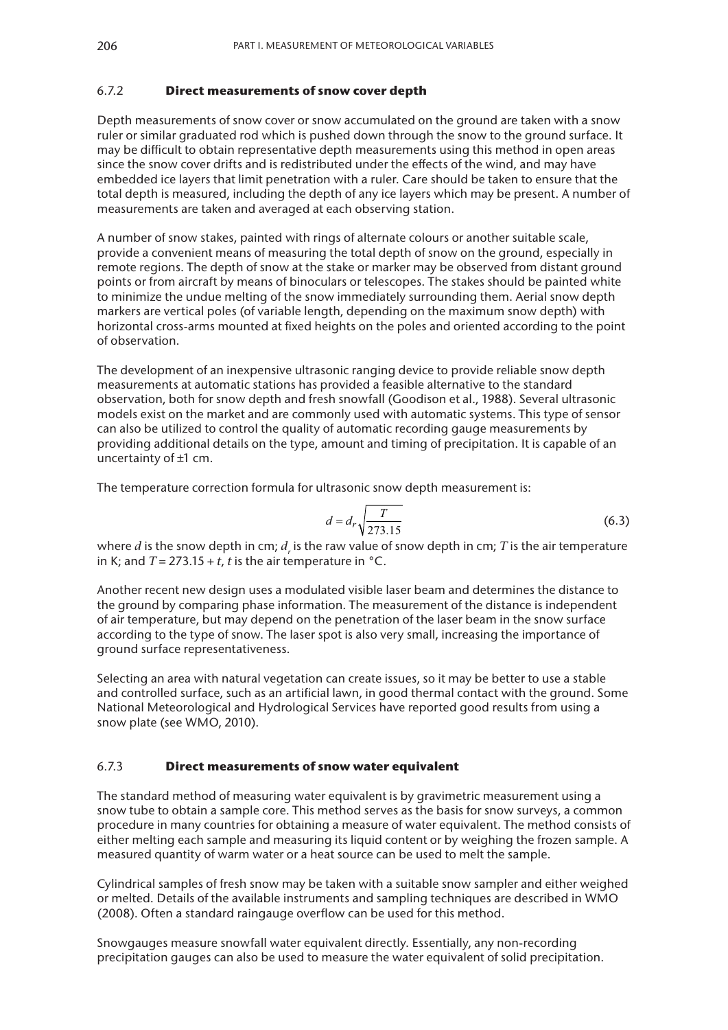## 6.7.2 **Direct measurements of snow cover depth**

Depth measurements of snow cover or snow accumulated on the ground are taken with a snow ruler or similar graduated rod which is pushed down through the snow to the ground surface. It may be difficult to obtain representative depth measurements using this method in open areas since the snow cover drifts and is redistributed under the effects of the wind, and may have embedded ice layers that limit penetration with a ruler. Care should be taken to ensure that the total depth is measured, including the depth of any ice layers which may be present. A number of measurements are taken and averaged at each observing station.

A number of snow stakes, painted with rings of alternate colours or another suitable scale, provide a convenient means of measuring the total depth of snow on the ground, especially in remote regions. The depth of snow at the stake or marker may be observed from distant ground points or from aircraft by means of binoculars or telescopes. The stakes should be painted white to minimize the undue melting of the snow immediately surrounding them. Aerial snow depth markers are vertical poles (of variable length, depending on the maximum snow depth) with horizontal cross-arms mounted at fixed heights on the poles and oriented according to the point of observation.

The development of an inexpensive ultrasonic ranging device to provide reliable snow depth measurements at automatic stations has provided a feasible alternative to the standard observation, both for snow depth and fresh snowfall (Goodison et al., 1988). Several ultrasonic models exist on the market and are commonly used with automatic systems. This type of sensor can also be utilized to control the quality of automatic recording gauge measurements by providing additional details on the type, amount and timing of precipitation. It is capable of an uncertainty of ±1 cm.

The temperature correction formula for ultrasonic snow depth measurement is:

$$
d = d_r \sqrt{\frac{T}{273.15}}\tag{6.3}
$$

where  $d$  is the snow depth in cm;  $d_{r}$  is the raw value of snow depth in cm;  $T$  is the air temperature in K; and  $T = 273.15 + t$ , *t* is the air temperature in °C.

Another recent new design uses a modulated visible laser beam and determines the distance to the ground by comparing phase information. The measurement of the distance is independent of air temperature, but may depend on the penetration of the laser beam in the snow surface according to the type of snow. The laser spot is also very small, increasing the importance of ground surface representativeness.

Selecting an area with natural vegetation can create issues, so it may be better to use a stable and controlled surface, such as an artificial lawn, in good thermal contact with the ground. Some National Meteorological and Hydrological Services have reported good results from using a snow plate (see WMO, 2010).

#### 6.7.3 **Direct measurements of snow water equivalent**

The standard method of measuring water equivalent is by gravimetric measurement using a snow tube to obtain a sample core. This method serves as the basis for snow surveys, a common procedure in many countries for obtaining a measure of water equivalent. The method consists of either melting each sample and measuring its liquid content or by weighing the frozen sample. A measured quantity of warm water or a heat source can be used to melt the sample.

Cylindrical samples of fresh snow may be taken with a suitable snow sampler and either weighed or melted. Details of the available instruments and sampling techniques are described in WMO (2008). Often a standard raingauge overflow can be used for this method.

Snowgauges measure snowfall water equivalent directly. Essentially, any non-recording precipitation gauges can also be used to measure the water equivalent of solid precipitation.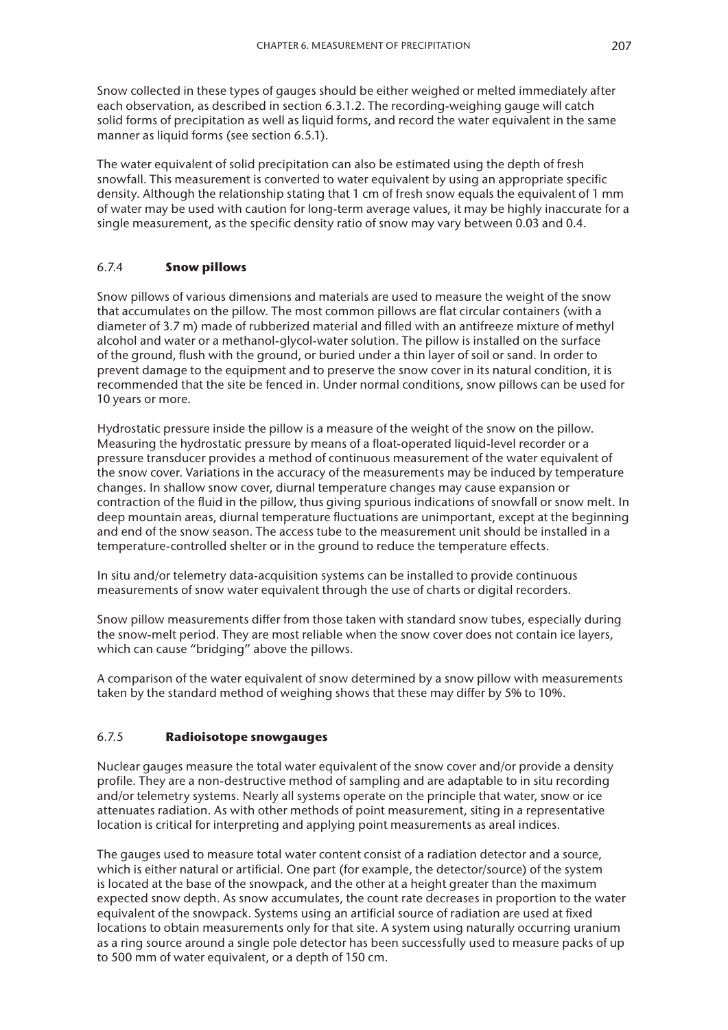Snow collected in these types of gauges should be either weighed or melted immediately after each observation, as described in section 6.3.1.2. The recording-weighing gauge will catch solid forms of precipitation as well as liquid forms, and record the water equivalent in the same manner as liquid forms (see section 6.5.1).

The water equivalent of solid precipitation can also be estimated using the depth of fresh snowfall. This measurement is converted to water equivalent by using an appropriate specific density. Although the relationship stating that 1 cm of fresh snow equals the equivalent of 1 mm of water may be used with caution for long-term average values, it may be highly inaccurate for a single measurement, as the specific density ratio of snow may vary between 0.03 and 0.4.

# 6.7.4 **Snow pillows**

Snow pillows of various dimensions and materials are used to measure the weight of the snow that accumulates on the pillow. The most common pillows are flat circular containers (with a diameter of 3.7 m) made of rubberized material and filled with an antifreeze mixture of methyl alcohol and water or a methanol-glycol-water solution. The pillow is installed on the surface of the ground, flush with the ground, or buried under a thin layer of soil or sand. In order to prevent damage to the equipment and to preserve the snow cover in its natural condition, it is recommended that the site be fenced in. Under normal conditions, snow pillows can be used for 10 years or more.

Hydrostatic pressure inside the pillow is a measure of the weight of the snow on the pillow. Measuring the hydrostatic pressure by means of a float-operated liquid-level recorder or a pressure transducer provides a method of continuous measurement of the water equivalent of the snow cover. Variations in the accuracy of the measurements may be induced by temperature changes. In shallow snow cover, diurnal temperature changes may cause expansion or contraction of the fluid in the pillow, thus giving spurious indications of snowfall or snow melt. In deep mountain areas, diurnal temperature fluctuations are unimportant, except at the beginning and end of the snow season. The access tube to the measurement unit should be installed in a temperature-controlled shelter or in the ground to reduce the temperature effects.

In situ and/or telemetry data-acquisition systems can be installed to provide continuous measurements of snow water equivalent through the use of charts or digital recorders.

Snow pillow measurements differ from those taken with standard snow tubes, especially during the snow-melt period. They are most reliable when the snow cover does not contain ice layers, which can cause "bridging" above the pillows.

A comparison of the water equivalent of snow determined by a snow pillow with measurements taken by the standard method of weighing shows that these may differ by 5% to 10%.

## 6.7.5 **Radioisotope snowgauges**

Nuclear gauges measure the total water equivalent of the snow cover and/or provide a density profile. They are a non-destructive method of sampling and are adaptable to in situ recording and/or telemetry systems. Nearly all systems operate on the principle that water, snow or ice attenuates radiation. As with other methods of point measurement, siting in a representative location is critical for interpreting and applying point measurements as areal indices.

The gauges used to measure total water content consist of a radiation detector and a source, which is either natural or artificial. One part (for example, the detector/source) of the system is located at the base of the snowpack, and the other at a height greater than the maximum expected snow depth. As snow accumulates, the count rate decreases in proportion to the water equivalent of the snowpack. Systems using an artificial source of radiation are used at fixed locations to obtain measurements only for that site. A system using naturally occurring uranium as a ring source around a single pole detector has been successfully used to measure packs of up to 500 mm of water equivalent, or a depth of 150 cm.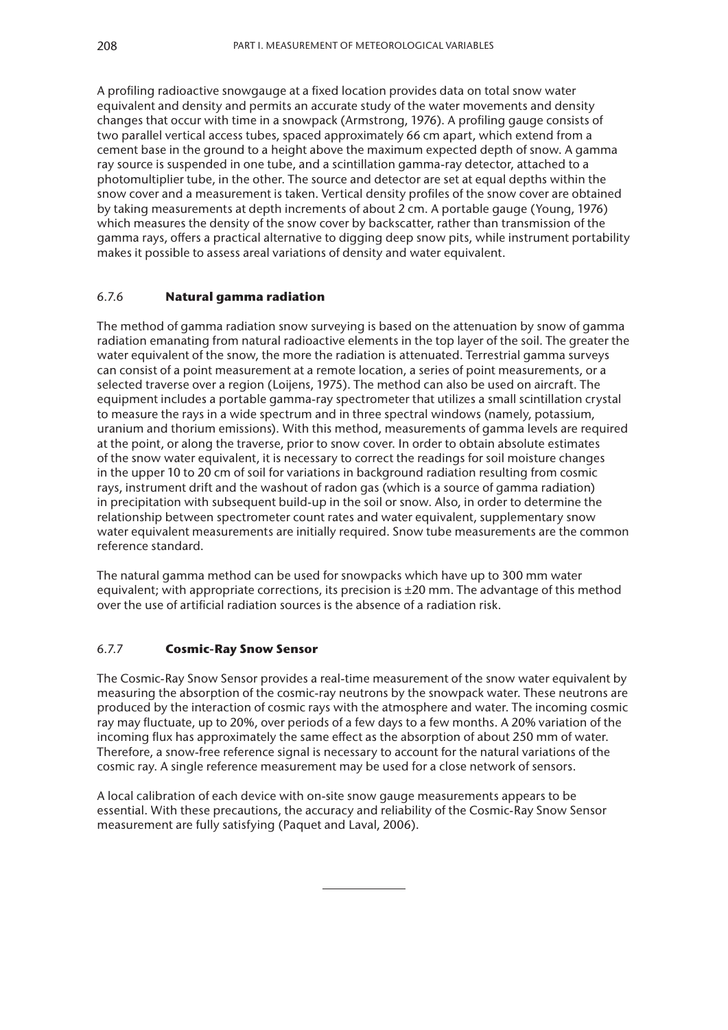A profiling radioactive snowgauge at a fixed location provides data on total snow water equivalent and density and permits an accurate study of the water movements and density changes that occur with time in a snowpack (Armstrong, 1976). A profiling gauge consists of two parallel vertical access tubes, spaced approximately 66 cm apart, which extend from a cement base in the ground to a height above the maximum expected depth of snow. A gamma ray source is suspended in one tube, and a scintillation gamma-ray detector, attached to a photomultiplier tube, in the other. The source and detector are set at equal depths within the snow cover and a measurement is taken. Vertical density profiles of the snow cover are obtained by taking measurements at depth increments of about 2 cm. A portable gauge (Young, 1976) which measures the density of the snow cover by backscatter, rather than transmission of the gamma rays, offers a practical alternative to digging deep snow pits, while instrument portability makes it possible to assess areal variations of density and water equivalent.

#### 6.7.6 **Natural gamma radiation**

The method of gamma radiation snow surveying is based on the attenuation by snow of gamma radiation emanating from natural radioactive elements in the top layer of the soil. The greater the water equivalent of the snow, the more the radiation is attenuated. Terrestrial gamma surveys can consist of a point measurement at a remote location, a series of point measurements, or a selected traverse over a region (Loijens, 1975). The method can also be used on aircraft. The equipment includes a portable gamma-ray spectrometer that utilizes a small scintillation crystal to measure the rays in a wide spectrum and in three spectral windows (namely, potassium, uranium and thorium emissions). With this method, measurements of gamma levels are required at the point, or along the traverse, prior to snow cover. In order to obtain absolute estimates of the snow water equivalent, it is necessary to correct the readings for soil moisture changes in the upper 10 to 20 cm of soil for variations in background radiation resulting from cosmic rays, instrument drift and the washout of radon gas (which is a source of gamma radiation) in precipitation with subsequent build-up in the soil or snow. Also, in order to determine the relationship between spectrometer count rates and water equivalent, supplementary snow water equivalent measurements are initially required. Snow tube measurements are the common reference standard.

The natural gamma method can be used for snowpacks which have up to 300 mm water equivalent; with appropriate corrections, its precision is ±20 mm. The advantage of this method over the use of artificial radiation sources is the absence of a radiation risk.

#### 6.7.7 **Cosmic-Ray Snow Sensor**

The Cosmic-Ray Snow Sensor provides a real-time measurement of the snow water equivalent by measuring the absorption of the cosmic-ray neutrons by the snowpack water. These neutrons are produced by the interaction of cosmic rays with the atmosphere and water. The incoming cosmic ray may fluctuate, up to 20%, over periods of a few days to a few months. A 20% variation of the incoming flux has approximately the same effect as the absorption of about 250 mm of water. Therefore, a snow-free reference signal is necessary to account for the natural variations of the cosmic ray. A single reference measurement may be used for a close network of sensors.

A local calibration of each device with on-site snow gauge measurements appears to be essential. With these precautions, the accuracy and reliability of the Cosmic-Ray Snow Sensor measurement are fully satisfying (Paquet and Laval, 2006).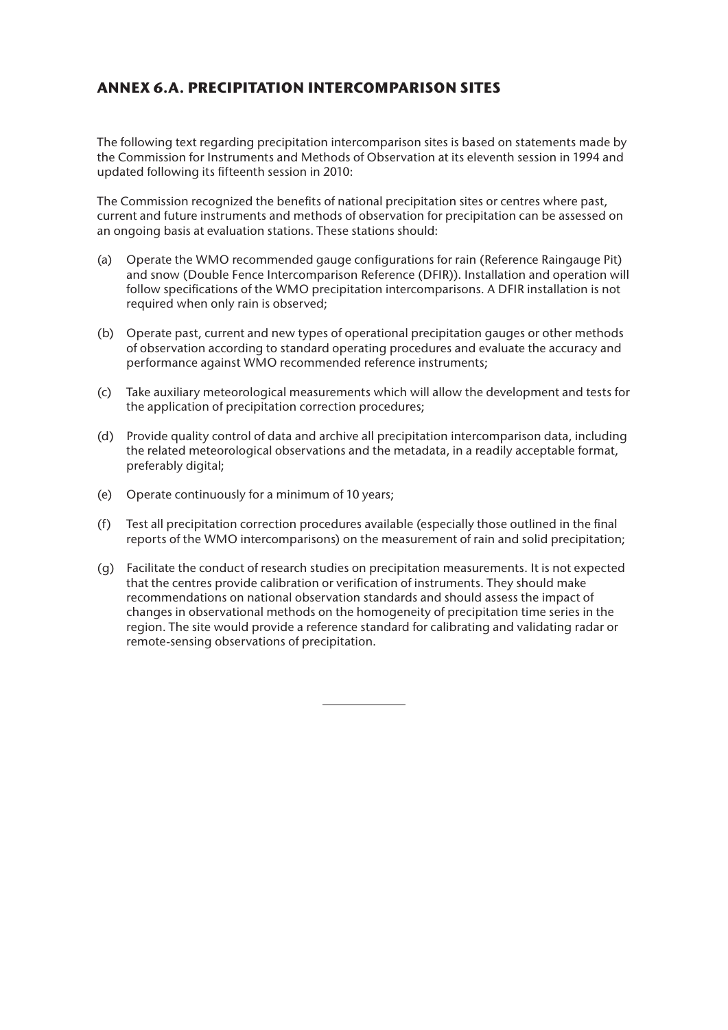# **ANNEX 6.A. PRECIPITATION INTERCOMPARISON SITES**

The following text regarding precipitation intercomparison sites is based on statements made by the Commission for Instruments and Methods of Observation at its eleventh session in 1994 and updated following its fifteenth session in 2010:

The Commission recognized the benefits of national precipitation sites or centres where past, current and future instruments and methods of observation for precipitation can be assessed on an ongoing basis at evaluation stations. These stations should:

- (a) Operate the WMO recommended gauge configurations for rain (Reference Raingauge Pit) and snow (Double Fence Intercomparison Reference (DFIR)). Installation and operation will follow specifications of the WMO precipitation intercomparisons. A DFIR installation is not required when only rain is observed;
- (b) Operate past, current and new types of operational precipitation gauges or other methods of observation according to standard operating procedures and evaluate the accuracy and performance against WMO recommended reference instruments;
- (c) Take auxiliary meteorological measurements which will allow the development and tests for the application of precipitation correction procedures;
- (d) Provide quality control of data and archive all precipitation intercomparison data, including the related meteorological observations and the metadata, in a readily acceptable format, preferably digital;
- (e) Operate continuously for a minimum of 10 years;
- (f) Test all precipitation correction procedures available (especially those outlined in the final reports of the WMO intercomparisons) on the measurement of rain and solid precipitation;
- (g) Facilitate the conduct of research studies on precipitation measurements. It is not expected that the centres provide calibration or verification of instruments. They should make recommendations on national observation standards and should assess the impact of changes in observational methods on the homogeneity of precipitation time series in the region. The site would provide a reference standard for calibrating and validating radar or remote-sensing observations of precipitation.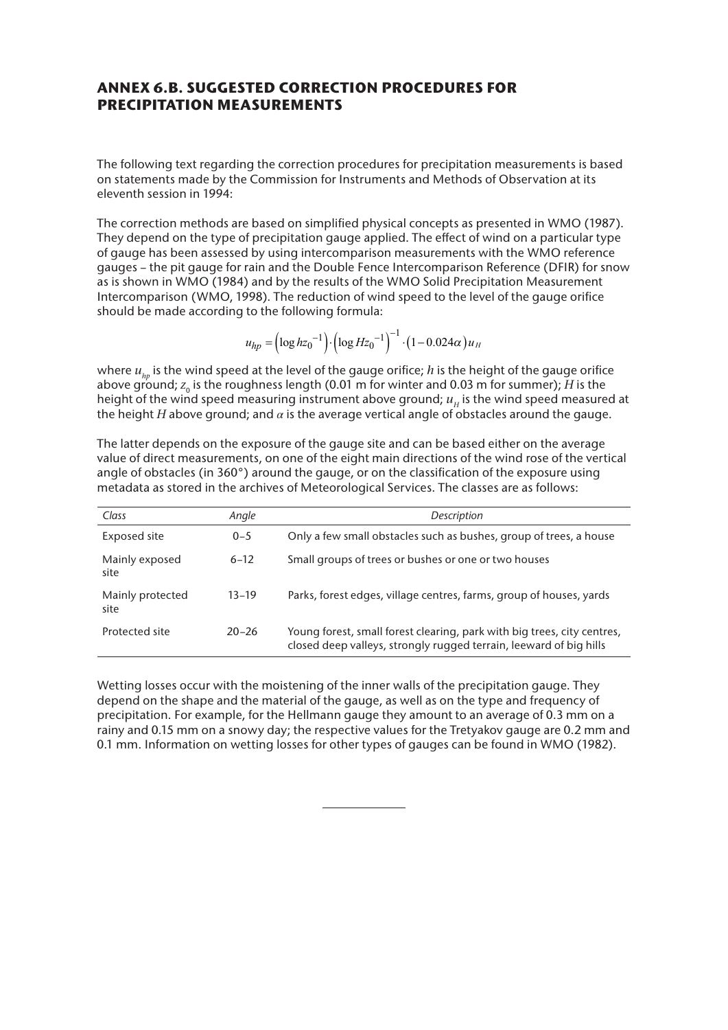# **ANNEX 6.B. SUGGESTED CORRECTION PROCEDURES FOR PRECIPITATION MEASUREMENTS**

The following text regarding the correction procedures for precipitation measurements is based on statements made by the Commission for Instruments and Methods of Observation at its eleventh session in 1994:

The correction methods are based on simplified physical concepts as presented in WMO (1987). They depend on the type of precipitation gauge applied. The effect of wind on a particular type of gauge has been assessed by using intercomparison measurements with the WMO reference gauges – the pit gauge for rain and the Double Fence Intercomparison Reference (DFIR) for snow as is shown in WMO (1984) and by the results of the WMO Solid Precipitation Measurement Intercomparison (WMO, 1998). The reduction of wind speed to the level of the gauge orifice should be made according to the following formula:

$$
u_{hp} = \left(\log h z_0^{-1}\right) \cdot \left(\log H z_0^{-1}\right)^{-1} \cdot \left(1 - 0.024\alpha\right) u_H
$$

where  $u_{h_n}$  is the wind speed at the level of the gauge orifice; *h* is the height of the gauge orifice above ground;  $z_{_0}$  is the roughness length (0.01 m for winter and 0.03 m for summer);  $H$  is the height of the wind speed measuring instrument above ground;  $u<sub>H</sub>$  is the wind speed measured at the height *H* above ground; and  $\alpha$  is the average vertical angle of obstacles around the gauge.

The latter depends on the exposure of the gauge site and can be based either on the average value of direct measurements, on one of the eight main directions of the wind rose of the vertical angle of obstacles (in 360°) around the gauge, or on the classification of the exposure using metadata as stored in the archives of Meteorological Services. The classes are as follows:

| Class                    | Angle     | Description                                                                                                                                   |
|--------------------------|-----------|-----------------------------------------------------------------------------------------------------------------------------------------------|
| Exposed site             | $0 - 5$   | Only a few small obstacles such as bushes, group of trees, a house                                                                            |
| Mainly exposed<br>site   | $6 - 12$  | Small groups of trees or bushes or one or two houses                                                                                          |
| Mainly protected<br>site | $13 - 19$ | Parks, forest edges, village centres, farms, group of houses, yards                                                                           |
| Protected site           | $20 - 26$ | Young forest, small forest clearing, park with big trees, city centres,<br>closed deep valleys, strongly rugged terrain, leeward of big hills |

Wetting losses occur with the moistening of the inner walls of the precipitation gauge. They depend on the shape and the material of the gauge, as well as on the type and frequency of precipitation. For example, for the Hellmann gauge they amount to an average of 0.3 mm on a rainy and 0.15 mm on a snowy day; the respective values for the Tretyakov gauge are 0.2 mm and 0.1 mm. Information on wetting losses for other types of gauges can be found in WMO (1982).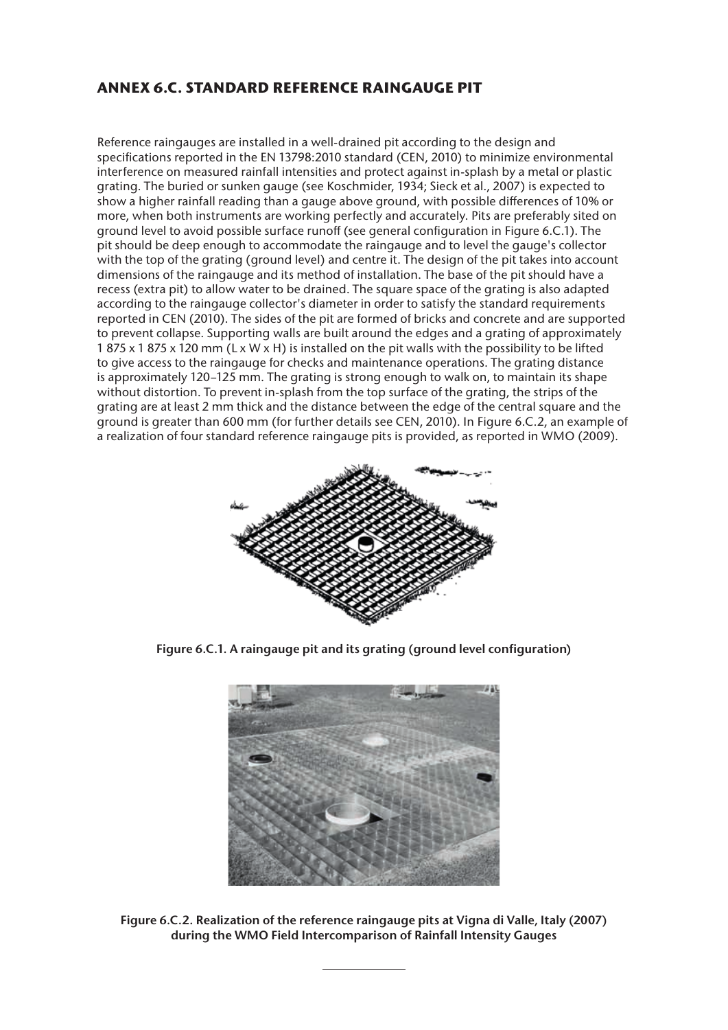# **ANNEX 6.C. STANDARD REFERENCE RAINGAUGE PIT**

Reference raingauges are installed in a well-drained pit according to the design and specifications reported in the EN 13798:2010 standard (CEN, 2010) to minimize environmental interference on measured rainfall intensities and protect against in-splash by a metal or plastic grating. The buried or sunken gauge (see Koschmider, 1934; Sieck et al., 2007) is expected to show a higher rainfall reading than a gauge above ground, with possible differences of 10% or more, when both instruments are working perfectly and accurately. Pits are preferably sited on ground level to avoid possible surface runoff (see general configuration in Figure 6.C.1). The pit should be deep enough to accommodate the raingauge and to level the gauge's collector with the top of the grating (ground level) and centre it. The design of the pit takes into account dimensions of the raingauge and its method of installation. The base of the pit should have a recess (extra pit) to allow water to be drained. The square space of the grating is also adapted according to the raingauge collector's diameter in order to satisfy the standard requirements reported in CEN (2010). The sides of the pit are formed of bricks and concrete and are supported to prevent collapse. Supporting walls are built around the edges and a grating of approximately 1 875 x 1 875 x 120 mm (L x W x H) is installed on the pit walls with the possibility to be lifted to give access to the raingauge for checks and maintenance operations. The grating distance is approximately 120–125 mm. The grating is strong enough to walk on, to maintain its shape without distortion. To prevent in-splash from the top surface of the grating, the strips of the grating are at least 2 mm thick and the distance between the edge of the central square and the ground is greater than 600 mm (for further details see CEN, 2010). In Figure 6.C.2, an example of a realization of four standard reference raingauge pits is provided, as reported in WMO (2009).



**Figure 6.C.1. A raingauge pit and its grating (ground level configuration)**



**Figure 6.C.2. Realization of the reference raingauge pits at Vigna di Valle, Italy (2007) during the WMO Field Intercomparison of Rainfall Intensity Gauges**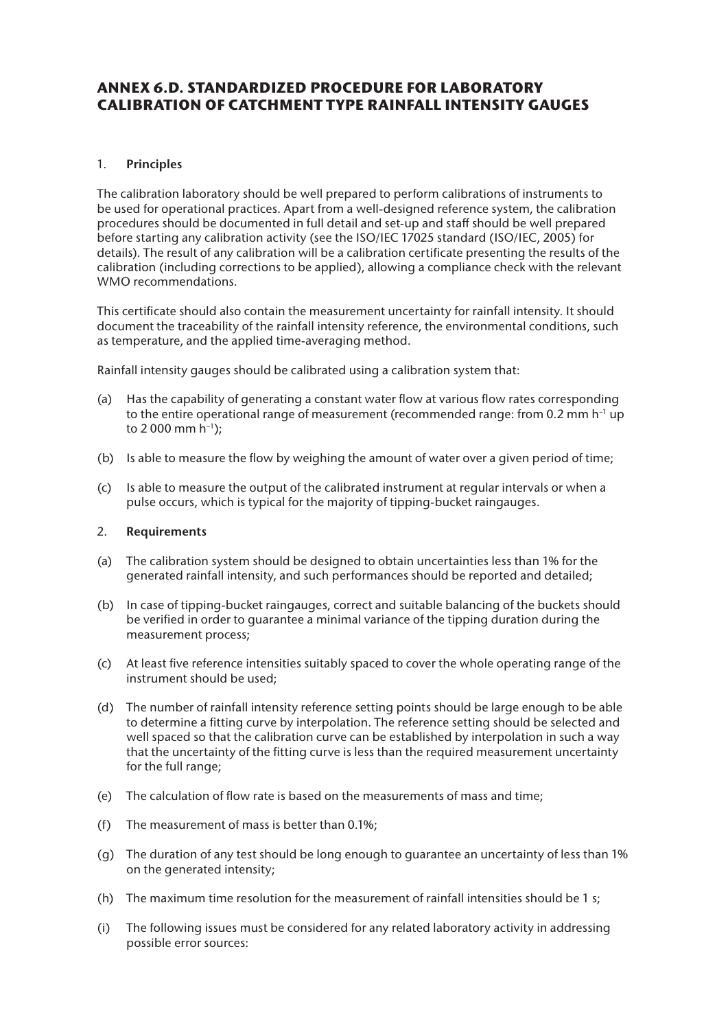# **ANNEX 6.D. STANDARDIZED PROCEDURE FOR LABORATORY CALIBRATION OF CATCHMENT TYPE RAINFALL INTENSITY GAUGES**

## 1. **Principles**

The calibration laboratory should be well prepared to perform calibrations of instruments to be used for operational practices. Apart from a well-designed reference system, the calibration procedures should be documented in full detail and set-up and staff should be well prepared before starting any calibration activity (see the ISO/IEC 17025 standard (ISO/IEC, 2005) for details). The result of any calibration will be a calibration certificate presenting the results of the calibration (including corrections to be applied), allowing a compliance check with the relevant WMO recommendations.

This certificate should also contain the measurement uncertainty for rainfall intensity. It should document the traceability of the rainfall intensity reference, the environmental conditions, such as temperature, and the applied time-averaging method.

Rainfall intensity gauges should be calibrated using a calibration system that:

- (a) Has the capability of generating a constant water flow at various flow rates corresponding to the entire operational range of measurement (recommended range: from 0.2 mm h<sup>-1</sup> up to 2 000 mm h–1);
- (b) Is able to measure the flow by weighing the amount of water over a given period of time;
- (c) Is able to measure the output of the calibrated instrument at regular intervals or when a pulse occurs, which is typical for the majority of tipping-bucket raingauges.

## 2. **Requirements**

- (a) The calibration system should be designed to obtain uncertainties less than 1% for the generated rainfall intensity, and such performances should be reported and detailed;
- (b) In case of tipping-bucket raingauges, correct and suitable balancing of the buckets should be verified in order to guarantee a minimal variance of the tipping duration during the measurement process;
- (c) At least five reference intensities suitably spaced to cover the whole operating range of the instrument should be used;
- (d) The number of rainfall intensity reference setting points should be large enough to be able to determine a fitting curve by interpolation. The reference setting should be selected and well spaced so that the calibration curve can be established by interpolation in such a way that the uncertainty of the fitting curve is less than the required measurement uncertainty for the full range;
- (e) The calculation of flow rate is based on the measurements of mass and time;
- (f) The measurement of mass is better than 0.1%;
- (g) The duration of any test should be long enough to guarantee an uncertainty of less than 1% on the generated intensity;
- (h) The maximum time resolution for the measurement of rainfall intensities should be 1 s;
- (i) The following issues must be considered for any related laboratory activity in addressing possible error sources: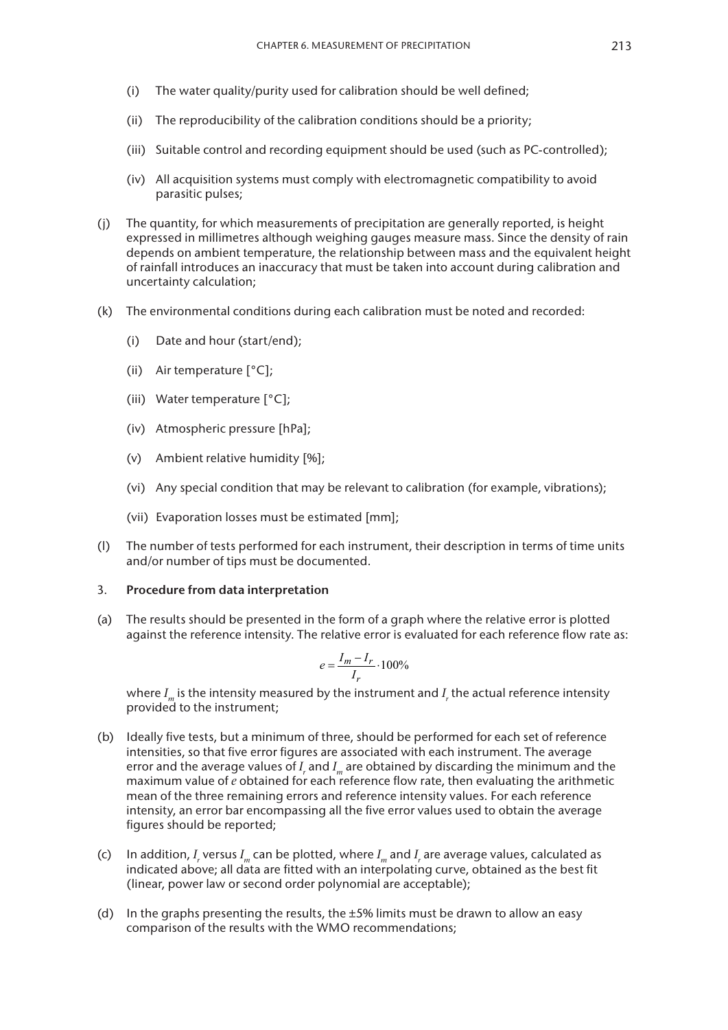- (i) The water quality/purity used for calibration should be well defined;
- (ii) The reproducibility of the calibration conditions should be a priority;
- (iii) Suitable control and recording equipment should be used (such as PC-controlled);
- (iv) All acquisition systems must comply with electromagnetic compatibility to avoid parasitic pulses;
- (j) The quantity, for which measurements of precipitation are generally reported, is height expressed in millimetres although weighing gauges measure mass. Since the density of rain depends on ambient temperature, the relationship between mass and the equivalent height of rainfall introduces an inaccuracy that must be taken into account during calibration and uncertainty calculation;
- (k) The environmental conditions during each calibration must be noted and recorded:
	- (i) Date and hour (start/end);
	- (ii) Air temperature [°C];
	- (iii) Water temperature [°C];
	- (iv) Atmospheric pressure [hPa];
	- (v) Ambient relative humidity [%];
	- (vi) Any special condition that may be relevant to calibration (for example, vibrations);
	- (vii) Evaporation losses must be estimated [mm];
- (l) The number of tests performed for each instrument, their description in terms of time units and/or number of tips must be documented.

#### 3. **Procedure from data interpretation**

(a) The results should be presented in the form of a graph where the relative error is plotted against the reference intensity. The relative error is evaluated for each reference flow rate as:

$$
e = \frac{I_m - I_r}{I_r} \cdot 100\%
$$

where  $I_m$  is the intensity measured by the instrument and  $I_r$  the actual reference intensity provided to the instrument;

- (b) Ideally five tests, but a minimum of three, should be performed for each set of reference intensities, so that five error figures are associated with each instrument. The average error and the average values of  $I_{_r}$  and  $I_{_m}$  are obtained by discarding the minimum and the maximum value of *e* obtained for each reference flow rate, then evaluating the arithmetic mean of the three remaining errors and reference intensity values. For each reference intensity, an error bar encompassing all the five error values used to obtain the average figures should be reported;
- (c) In addition,  $I_r$  versus  $I_m$  can be plotted, where  $I_m$  and  $I_r$  are average values, calculated as indicated above; all data are fitted with an interpolating curve, obtained as the best fit (linear, power law or second order polynomial are acceptable);
- (d) In the graphs presenting the results, the  $\pm 5\%$  limits must be drawn to allow an easy comparison of the results with the WMO recommendations;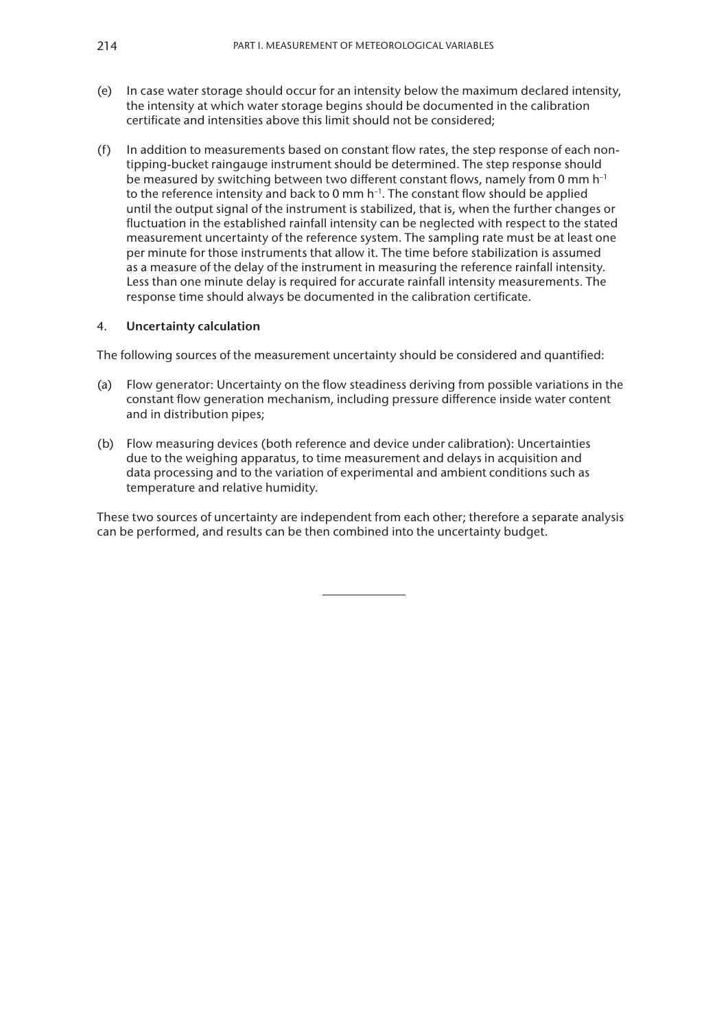- (e) In case water storage should occur for an intensity below the maximum declared intensity, the intensity at which water storage begins should be documented in the calibration certificate and intensities above this limit should not be considered;
- (f) In addition to measurements based on constant flow rates, the step response of each nontipping-bucket raingauge instrument should be determined. The step response should be measured by switching between two different constant flows, namely from 0 mm  $h^{-1}$ to the reference intensity and back to 0 mm  $h^{-1}$ . The constant flow should be applied until the output signal of the instrument is stabilized, that is, when the further changes or fluctuation in the established rainfall intensity can be neglected with respect to the stated measurement uncertainty of the reference system. The sampling rate must be at least one per minute for those instruments that allow it. The time before stabilization is assumed as a measure of the delay of the instrument in measuring the reference rainfall intensity. Less than one minute delay is required for accurate rainfall intensity measurements. The response time should always be documented in the calibration certificate.

#### 4. **Uncertainty calculation**

The following sources of the measurement uncertainty should be considered and quantified:

- (a) Flow generator: Uncertainty on the flow steadiness deriving from possible variations in the constant flow generation mechanism, including pressure difference inside water content and in distribution pipes;
- (b) Flow measuring devices (both reference and device under calibration): Uncertainties due to the weighing apparatus, to time measurement and delays in acquisition and data processing and to the variation of experimental and ambient conditions such as temperature and relative humidity.

These two sources of uncertainty are independent from each other; therefore a separate analysis can be performed, and results can be then combined into the uncertainty budget.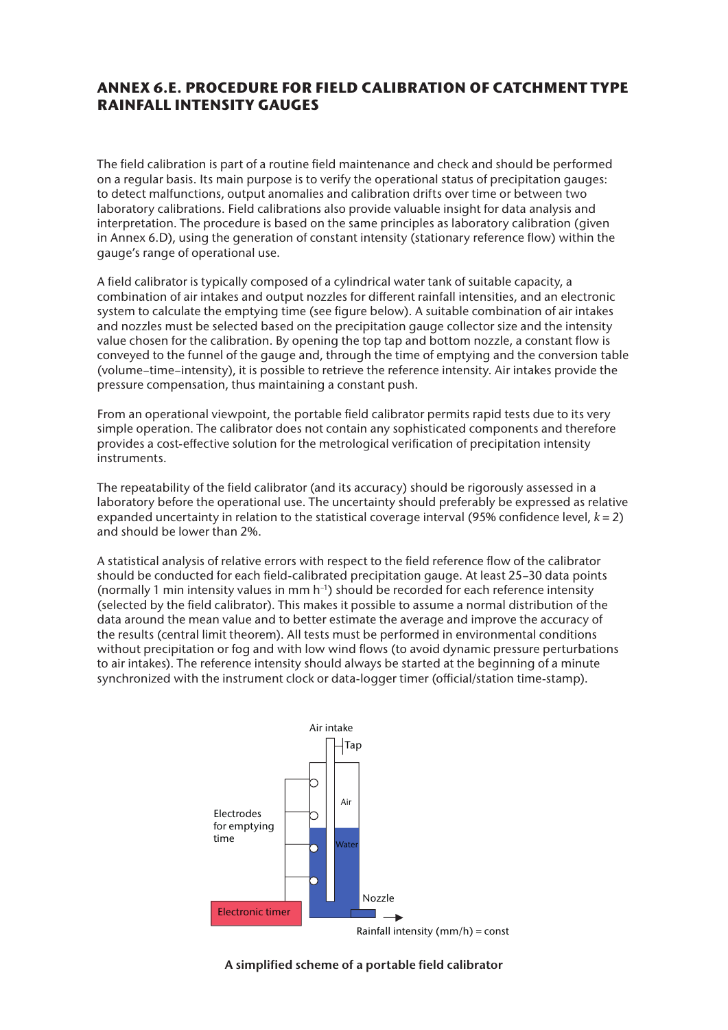# **ANNEX 6.E. PROCEDURE FOR FIELD CALIBRATION OF CATCHMENT TYPE RAINFALL INTENSITY GAUGES**

The field calibration is part of a routine field maintenance and check and should be performed on a regular basis. Its main purpose is to verify the operational status of precipitation gauges: to detect malfunctions, output anomalies and calibration drifts over time or between two laboratory calibrations. Field calibrations also provide valuable insight for data analysis and interpretation. The procedure is based on the same principles as laboratory calibration (given in Annex 6.D), using the generation of constant intensity (stationary reference flow) within the gauge's range of operational use.

A field calibrator is typically composed of a cylindrical water tank of suitable capacity, a combination of air intakes and output nozzles for different rainfall intensities, and an electronic system to calculate the emptying time (see figure below). A suitable combination of air intakes and nozzles must be selected based on the precipitation gauge collector size and the intensity value chosen for the calibration. By opening the top tap and bottom nozzle, a constant flow is conveyed to the funnel of the gauge and, through the time of emptying and the conversion table (volume–time–intensity), it is possible to retrieve the reference intensity. Air intakes provide the pressure compensation, thus maintaining a constant push.

From an operational viewpoint, the portable field calibrator permits rapid tests due to its very simple operation. The calibrator does not contain any sophisticated components and therefore provides a cost-effective solution for the metrological verification of precipitation intensity instruments.

The repeatability of the field calibrator (and its accuracy) should be rigorously assessed in a laboratory before the operational use. The uncertainty should preferably be expressed as relative expanded uncertainty in relation to the statistical coverage interval (95% confidence level,  $k = 2$ ) and should be lower than 2%.

A statistical analysis of relative errors with respect to the field reference flow of the calibrator should be conducted for each field-calibrated precipitation gauge. At least 25–30 data points (normally 1 min intensity values in mm  $h^{-1}$ ) should be recorded for each reference intensity (selected by the field calibrator). This makes it possible to assume a normal distribution of the data around the mean value and to better estimate the average and improve the accuracy of the results (central limit theorem). All tests must be performed in environmental conditions without precipitation or fog and with low wind flows (to avoid dynamic pressure perturbations to air intakes). The reference intensity should always be started at the beginning of a minute synchronized with the instrument clock or data-logger timer (official/station time-stamp).



**A simplified scheme of a portable field calibrator**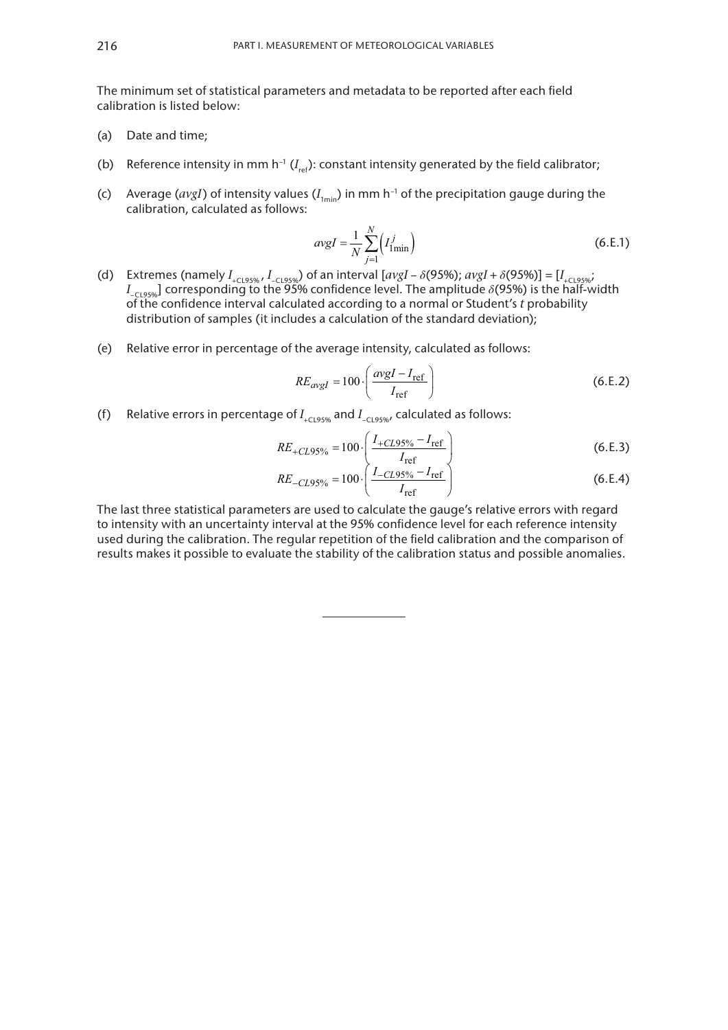The minimum set of statistical parameters and metadata to be reported after each field calibration is listed below:

- (a) Date and time;
- (b) Reference intensity in mm h<sup>-1</sup>  $(I_{ref})$ : constant intensity generated by the field calibrator;
- (c) Average (*avgI*) of intensity values ( $I_{1min}$ ) in mm h<sup>-1</sup> of the precipitation gauge during the calibration, calculated as follows:

$$
avgI = \frac{1}{N} \sum_{j=1}^{N} \left( I_{1\text{min}}^j \right) \tag{6.E.1}
$$

- (d) Extremes (namely  $I_{+CL95\%}$ ,  $I_{-CL95\%}$ ) of an interval  $[avgI \delta(95\%); avgI + \delta(95\%)] = [I_{+CL95\%}$ ;  $I_{\texttt{-C195}\%}]$  corresponding to the 95% confidence level. The amplitude  $\delta$ (95%) is the half-width of the confidence interval calculated according to a normal or Student's *t* probability distribution of samples (it includes a calculation of the standard deviation);
- (e) Relative error in percentage of the average intensity, calculated as follows:

$$
RE_{avgI} = 100 \cdot \left(\frac{avgI - I_{ref}}{I_{ref}}\right)
$$
 (6.E.2)

(f) Relative errors in percentage of  $I_{+C195\%}$  and  $I_{-C195\%}$  calculated as follows:

$$
RE_{+CL95\%} = 100 \cdot \left( \frac{I_{+CL95\%} - I_{\text{ref}}}{I_{\text{ref}}} \right)
$$
 (6. E.3)

$$
RE_{-CL95\%} = 100 \cdot \left( \frac{I_{-CL95\%} - I_{\text{ref}}}{I_{\text{ref}}} \right)
$$
 (6. E.4)

The last three statistical parameters are used to calculate the gauge's relative errors with regard to intensity with an uncertainty interval at the 95% confidence level for each reference intensity used during the calibration. The regular repetition of the field calibration and the comparison of results makes it possible to evaluate the stability of the calibration status and possible anomalies.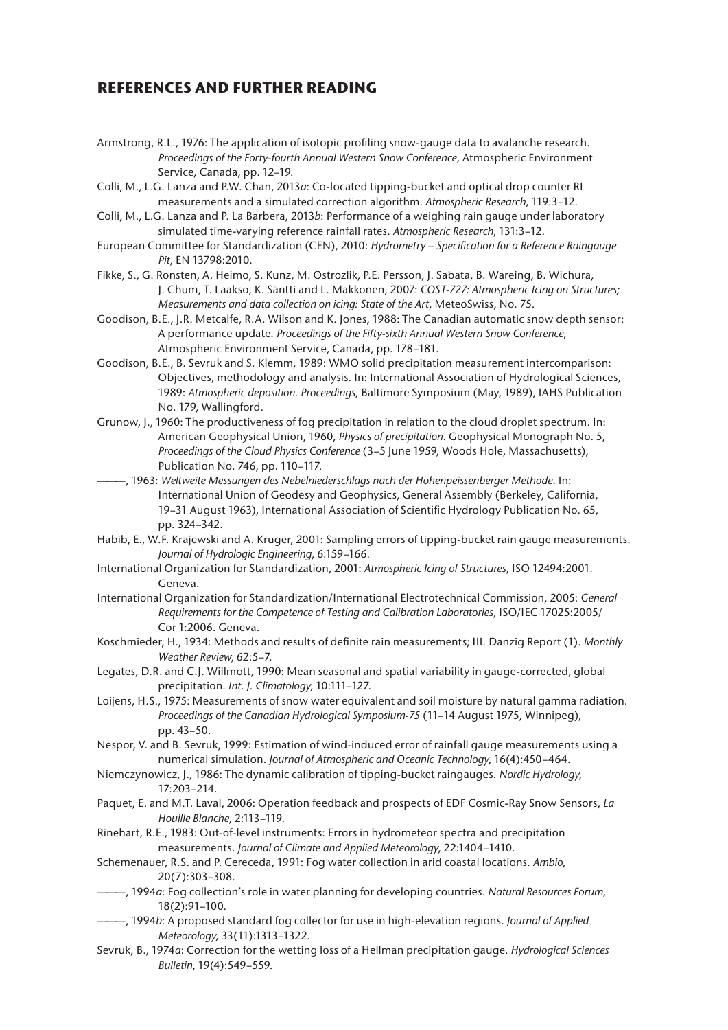# **REFERENCES AND FURTHER READING**

- Armstrong, R.L., 1976: The application of isotopic profiling snow-gauge data to avalanche research. *Proceedings of the Forty-fourth Annual Western Snow Conference*, Atmospheric Environment Service, Canada, pp. 12–19.
- Colli, M., L.G. Lanza and P.W. Chan, 2013*a*: Co-located tipping-bucket and optical drop counter RI measurements and a simulated correction algorithm. *Atmospheric Research*, 119:3–12.
- Colli, M., L.G. Lanza and P. La Barbera, 2013*b*: Performance of a weighing rain gauge under laboratory simulated time-varying reference rainfall rates. *Atmospheric Research*, 131:3–12.
- European Committee for Standardization (CEN), 2010: *Hydrometry Specification for a Reference Raingauge Pit*, EN 13798:2010.
- Fikke, S., G. Ronsten, A. Heimo, S. Kunz, M. Ostrozlik, P.E. Persson, J. Sabata, B. Wareing, B. Wichura, J. Chum, T. Laakso, K. Säntti and L. Makkonen, 2007: *COST-727: Atmospheric Icing on Structures; Measurements and data collection on icing: State of the Art*, MeteoSwiss, No. 75.
- Goodison, B.E., J.R. Metcalfe, R.A. Wilson and K. Jones, 1988: The Canadian automatic snow depth sensor: A performance update. *Proceedings of the Fifty-sixth Annual Western Snow Conference*, Atmospheric Environment Service, Canada, pp. 178–181.
- Goodison, B.E., B. Sevruk and S. Klemm, 1989: WMO solid precipitation measurement intercomparison: Objectives, methodology and analysis. In: International Association of Hydrological Sciences, 1989: *Atmospheric deposition. Proceedings*, Baltimore Symposium (May, 1989), IAHS Publication No. 179, Wallingford.
- Grunow, J., 1960: The productiveness of fog precipitation in relation to the cloud droplet spectrum. In: American Geophysical Union, 1960, *Physics of precipitation*. Geophysical Monograph No. 5, *Proceedings of the Cloud Physics Conference* (3–5 June 1959, Woods Hole, Massachusetts), Publication No. 746, pp. 110–117.
- ———, 1963: *Weltweite Messungen des Nebelniederschlags nach der Hohenpeissenberger Methode*. In: International Union of Geodesy and Geophysics, General Assembly (Berkeley, California, 19–31 August 1963), International Association of Scientific Hydrology Publication No. 65, pp. 324–342.
- Habib, E., W.F. Krajewski and A. Kruger, 2001: Sampling errors of tipping-bucket rain gauge measurements. *Journal of Hydrologic Engineering*, 6:159–166.
- International Organization for Standardization, 2001: *Atmospheric Icing of Structures*, ISO 12494:2001. Geneva.
- International Organization for Standardization/International Electrotechnical Commission, 2005: *General Requirements for the Competence of Testing and Calibration Laboratories*, ISO/IEC 17025:2005/ Cor 1:2006. Geneva.
- Koschmieder, H., 1934: Methods and results of definite rain measurements; III. Danzig Report (1). *Monthly Weather Review*, 62:5–7.
- Legates, D.R. and C.J. Willmott, 1990: Mean seasonal and spatial variability in gauge-corrected, global precipitation. *Int. J. Climatology*, 10:111–127.
- Loijens, H.S., 1975: Measurements of snow water equivalent and soil moisture by natural gamma radiation. *Proceedings of the Canadian Hydrological Symposium-75* (11–14 August 1975, Winnipeg), pp. 43–50.
- Nespor, V. and B. Sevruk, 1999: Estimation of wind-induced error of rainfall gauge measurements using a numerical simulation. *Journal of Atmospheric and Oceanic Technology*, 16(4):450–464.
- Niemczynowicz, J., 1986: The dynamic calibration of tipping-bucket raingauges. *Nordic Hydrology*, 17:203–214.
- Paquet, E. and M.T. Laval, 2006: Operation feedback and prospects of EDF Cosmic-Ray Snow Sensors, *La Houille Blanche*, 2:113–119.
- Rinehart, R.E., 1983: Out-of-level instruments: Errors in hydrometeor spectra and precipitation measurements. *Journal of Climate and Applied Meteorology*, 22:1404–1410.
- Schemenauer, R.S. and P. Cereceda, 1991: Fog water collection in arid coastal locations. *Ambio*, 20(7):303–308.
- ———, 1994*a*: Fog collection's role in water planning for developing countries. *Natural Resources Forum*, 18(2):91–100.
- ———, 1994*b*: A proposed standard fog collector for use in high-elevation regions. *Journal of Applied Meteorology*, 33(11):1313–1322.
- Sevruk, B., 1974*a*: Correction for the wetting loss of a Hellman precipitation gauge. *Hydrological Sciences Bulletin*, 19(4):549–559.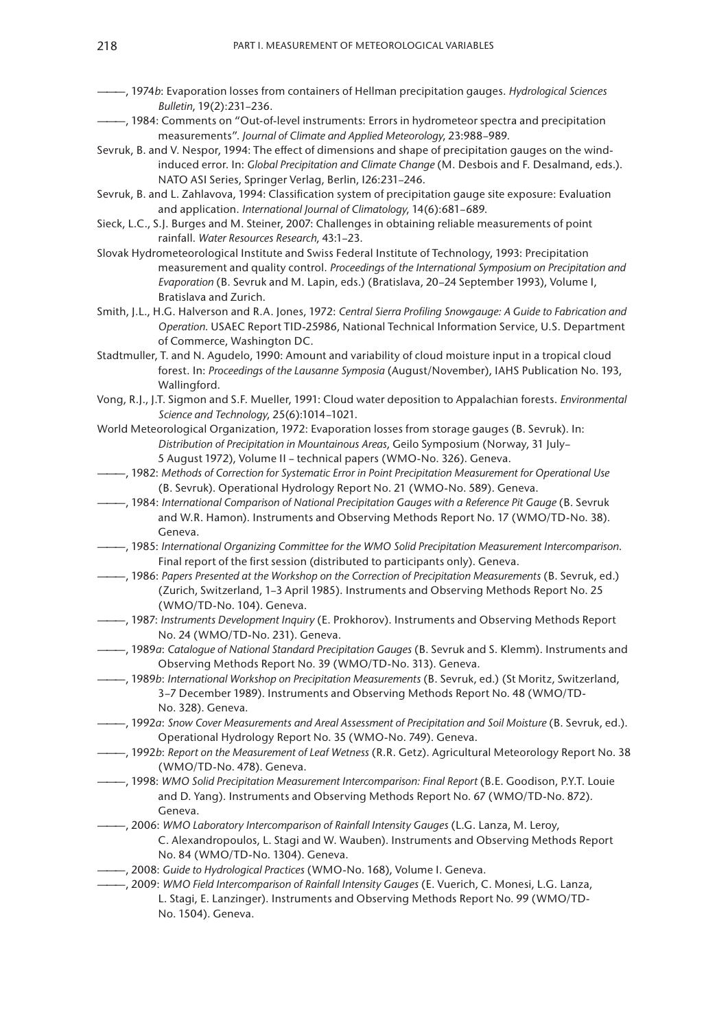- ———, 1974*b*: Evaporation losses from containers of Hellman precipitation gauges. *Hydrological Sciences Bulletin*, 19(2):231–236.
- ———, 1984: Comments on "Out-of-level instruments: Errors in hydrometeor spectra and precipitation measurements". *Journal of Climate and Applied Meteorology*, 23:988–989.
- Sevruk, B. and V. Nespor, 1994: The effect of dimensions and shape of precipitation gauges on the windinduced error. In: *Global Precipitation and Climate Change* (M. Desbois and F. Desalmand, eds.). NATO ASI Series, Springer Verlag, Berlin, I26:231–246.
- Sevruk, B. and L. Zahlavova, 1994: Classification system of precipitation gauge site exposure: Evaluation and application. *International Journal of Climatology*, 14(6):681–689.
- Sieck, L.C., S.J. Burges and M. Steiner, 2007: Challenges in obtaining reliable measurements of point rainfall. *Water Resources Research*, 43:1–23.
- Slovak Hydrometeorological Institute and Swiss Federal Institute of Technology, 1993: Precipitation measurement and quality control. *Proceedings of the International Symposium on Precipitation and Evaporation* (B. Sevruk and M. Lapin, eds.) (Bratislava, 20–24 September 1993), Volume I, Bratislava and Zurich.
- Smith, J.L., H.G. Halverson and R.A. Jones, 1972: *Central Sierra Profiling Snowgauge: A Guide to Fabrication and Operation*. USAEC Report TID-25986, National Technical Information Service, U.S. Department of Commerce, Washington DC.
- Stadtmuller, T. and N. Agudelo, 1990: Amount and variability of cloud moisture input in a tropical cloud forest. In: *Proceedings of the Lausanne Symposia* (August/November), IAHS Publication No. 193, Wallingford.
- Vong, R.J., J.T. Sigmon and S.F. Mueller, 1991: Cloud water deposition to Appalachian forests. *Environmental Science and Technology*, 25(6):1014–1021.
- World Meteorological Organization, 1972: Evaporation losses from storage gauges (B. Sevruk). In: *Distribution of Precipitation in Mountainous Areas*, Geilo Symposium (Norway, 31 July– 5 August 1972), Volume II – technical papers (WMO-No. 326). Geneva.
- ———, 1982: *Methods of Correction for Systematic Error in Point Precipitation Measurement for Operational Use* (B. Sevruk). Operational Hydrology Report No. 21 (WMO-No. 589). Geneva.
- ———, 1984: *International Comparison of National Precipitation Gauges with a Reference Pit Gauge* (B. Sevruk and W.R. Hamon). Instruments and Observing Methods Report No. 17 (WMO/TD-No. 38). Geneva.
- ———, 1985: *International Organizing Committee for the WMO Solid Precipitation Measurement Intercomparison*. Final report of the first session (distributed to participants only). Geneva.
- ———, 1986: *Papers Presented at the Workshop on the Correction of Precipitation Measurements* (B. Sevruk, ed.) (Zurich, Switzerland, 1–3 April 1985). Instruments and Observing Methods Report No. 25 (WMO/TD-No. 104). Geneva.
- ———, 1987: *Instruments Development Inquiry* (E. Prokhorov). Instruments and Observing Methods Report No. 24 (WMO/TD-No. 231). Geneva.
- ———, 1989*a*: *Catalogue of National Standard Precipitation Gauges* (B. Sevruk and S. Klemm). Instruments and Observing Methods Report No. 39 (WMO/TD-No. 313). Geneva.
- ———, 1989*b*: *International Workshop on Precipitation Measurements* (B. Sevruk, ed.) (St Moritz, Switzerland, 3–7 December 1989). Instruments and Observing Methods Report No. 48 (WMO/TD-No. 328). Geneva.
- ———, 1992*a*: *Snow Cover Measurements and Areal Assessment of Precipitation and Soil Moisture* (B. Sevruk, ed.). Operational Hydrology Report No. 35 (WMO-No. 749). Geneva.
- ———, 1992*b*: *Report on the Measurement of Leaf Wetness* (R.R. Getz). Agricultural Meteorology Report No. 38 (WMO/TD-No. 478). Geneva.
- ———, 1998: *WMO Solid Precipitation Measurement Intercomparison: Final Report* (B.E. Goodison, P.Y.T. Louie and D. Yang). Instruments and Observing Methods Report No. 67 (WMO/TD-No. 872). Geneva.
- ———, 2006: *WMO Laboratory Intercomparison of Rainfall Intensity Gauges* (L.G. Lanza, M. Leroy, C. Alexandropoulos, L. Stagi and W. Wauben). Instruments and Observing Methods Report No. 84 (WMO/TD-No. 1304). Geneva.
- ———, 2008: *Guide to Hydrological Practices* (WMO-No. 168), Volume I. Geneva.
- ———, 2009: *WMO Field Intercomparison of Rainfall Intensity Gauges* (E. Vuerich, C. Monesi, L.G. Lanza, L. Stagi, E. Lanzinger). Instruments and Observing Methods Report No. 99 (WMO/TD-No. 1504). Geneva.